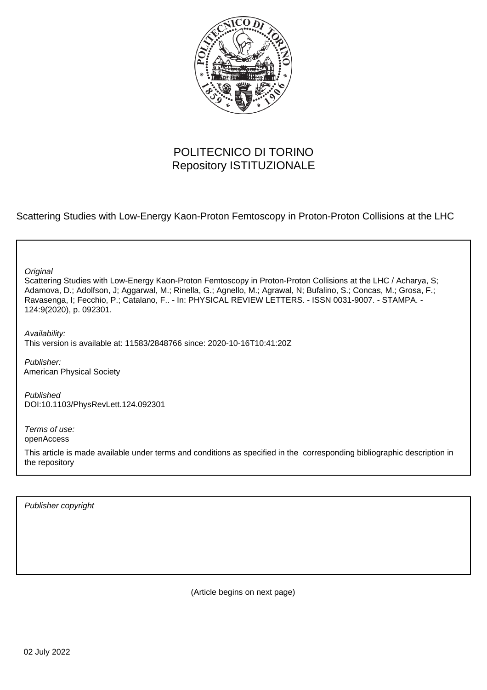

## POLITECNICO DI TORINO Repository ISTITUZIONALE

Scattering Studies with Low-Energy Kaon-Proton Femtoscopy in Proton-Proton Collisions at the LHC

**Original** 

Scattering Studies with Low-Energy Kaon-Proton Femtoscopy in Proton-Proton Collisions at the LHC / Acharya, S; Adamova, D.; Adolfson, J; Aggarwal, M.; Rinella, G.; Agnello, M.; Agrawal, N; Bufalino, S.; Concas, M.; Grosa, F.; Ravasenga, I; Fecchio, P.; Catalano, F.. - In: PHYSICAL REVIEW LETTERS. - ISSN 0031-9007. - STAMPA. - 124:9(2020), p. 092301.

Availability: This version is available at: 11583/2848766 since: 2020-10-16T10:41:20Z

Publisher: American Physical Society

Published DOI:10.1103/PhysRevLett.124.092301

Terms of use: openAccess

This article is made available under terms and conditions as specified in the corresponding bibliographic description in the repository

Publisher copyright

(Article begins on next page)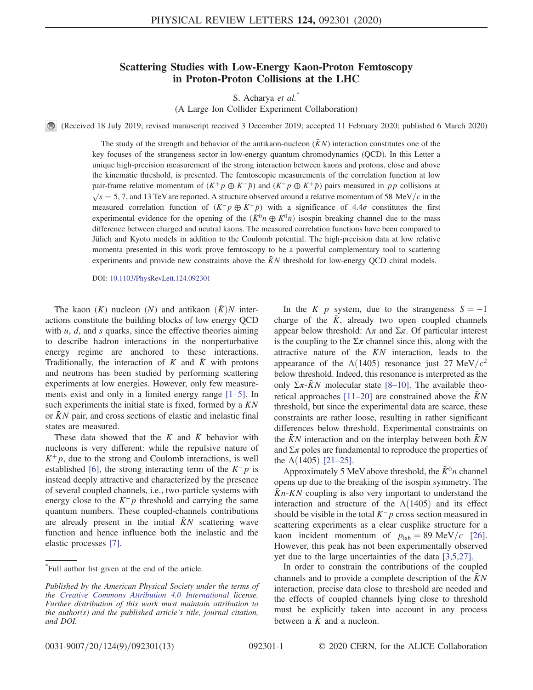## Scattering Studies with Low-Energy Kaon-Proton Femtoscopy in Proton-Proton Collisions at the LHC

S. Acharya et al.<sup>\*</sup>

(A Large Ion Collider Experiment Collaboration)

(Received 18 July 2019; revised manuscript received 3 December 2019; accepted 11 February 2020; published 6 March 2020)

The study of the strength and behavior of the antikaon-nucleon  $(KN)$  interaction constitutes one of the key focuses of the strangeness sector in low-energy quantum chromodynamics (QCD). In this Letter a unique high-precision measurement of the strong interaction between kaons and protons, close and above the kinematic threshold, is presented. The femtoscopic measurements of the correlation function at low pair-frame relative momentum of  $(K^+p \oplus K^-\bar{p})$  and  $(K^-p \oplus K^+\bar{p})$  pairs measured in pp collisions at  $\sqrt{s}$  = 5, 7, and 13 TeV are reported. A structure observed around a relative momentum of 58 MeV/c in the measured correlation function of  $(K^-p \oplus K^+\bar{p})$  with a significance of 4.4 $\sigma$  constitutes the first experimental evidence for the opening of the  $(\bar{K}^0 n \oplus K^0 \bar{n})$  isospin breaking channel due to the mass difference between charged and neutral kaons. The measured correlation functions have been compared to Jülich and Kyoto models in addition to the Coulomb potential. The high-precision data at low relative momenta presented in this work prove femtoscopy to be a powerful complementary tool to scattering experiments and provide new constraints above the  $\bar{K}N$  threshold for low-energy QCD chiral models.

DOI: [10.1103/PhysRevLett.124.092301](https://doi.org/10.1103/PhysRevLett.124.092301)

The kaon  $(K)$  nucleon  $(N)$  and antikaon  $(\bar{K})N$  interactions constitute the building blocks of low energy QCD with  $u$ ,  $d$ , and  $s$  quarks, since the effective theories aiming to describe hadron interactions in the nonperturbative energy regime are anchored to these interactions. Traditionally, the interaction of  $K$  and  $K$  with protons and neutrons has been studied by performing scattering experiments at low energies. However, only few measurements exist and only in a limited energy range [1–5]. In such experiments the initial state is fixed, formed by a  $KN$ or  $\bar{K}N$  pair, and cross sections of elastic and inelastic final states are measured.

These data showed that the K and  $\bar{K}$  behavior with nucleons is very different: while the repulsive nature of  $K^+p$ , due to the strong and Coulomb interactions, is well established [6], the strong interacting term of the  $K^-p$  is instead deeply attractive and characterized by the presence of several coupled channels, i.e., two-particle systems with energy close to the  $K^-p$  threshold and carrying the same quantum numbers. These coupled-channels contributions are already present in the initial  $\bar{K}N$  scattering wave function and hence influence both the inelastic and the elastic processes [7].

In the  $K^-p$  system, due to the strangeness  $S = -1$ charge of the  $\bar{K}$ , already two open coupled channels appear below threshold:  $Λπ$  and  $Σπ$ . Of particular interest is the coupling to the  $\Sigma \pi$  channel since this, along with the attractive nature of the  $\bar{K}N$  interaction, leads to the appearance of the  $\Lambda(1405)$  resonance just 27 MeV/ $c^2$ below threshold. Indeed, this resonance is interpreted as the only  $\Sigma \pi$ - $\bar{K}N$  molecular state [8–10]. The available theoretical approaches [11–20] are constrained above the  $\bar{K}N$ threshold, but since the experimental data are scarce, these constraints are rather loose, resulting in rather significant differences below threshold. Experimental constraints on the  $KN$  interaction and on the interplay between both  $KN$ and  $\Sigma \pi$  poles are fundamental to reproduce the properties of the  $\Lambda(1405)$  [21–25].

Approximately 5 MeV above threshold, the  $\bar{K}^0 n$  channel opens up due to the breaking of the isospin symmetry. The  $\bar{K}n-KN$  coupling is also very important to understand the interaction and structure of the  $\Lambda(1405)$  and its effect should be visible in the total  $K^-p$  cross section measured in scattering experiments as a clear cusplike structure for a kaon incident momentum of  $p_{\text{lab}} = 89 \text{ MeV}/c$  [26]. However, this peak has not been experimentally observed yet due to the large uncertainties of the data [3,5,27].

In order to constrain the contributions of the coupled channels and to provide a complete description of the  $\bar{K}N$ interaction, precise data close to threshold are needed and the effects of coupled channels lying close to threshold must be explicitly taken into account in any process between a  $K$  and a nucleon.

<sup>\*</sup> Full author list given at the end of the article.

Published by the American Physical Society under the terms of the [Creative Commons Attribution 4.0 International](https://creativecommons.org/licenses/by/4.0/) license. Further distribution of this work must maintain attribution to the author(s) and the published article's title, journal citation, and DOI.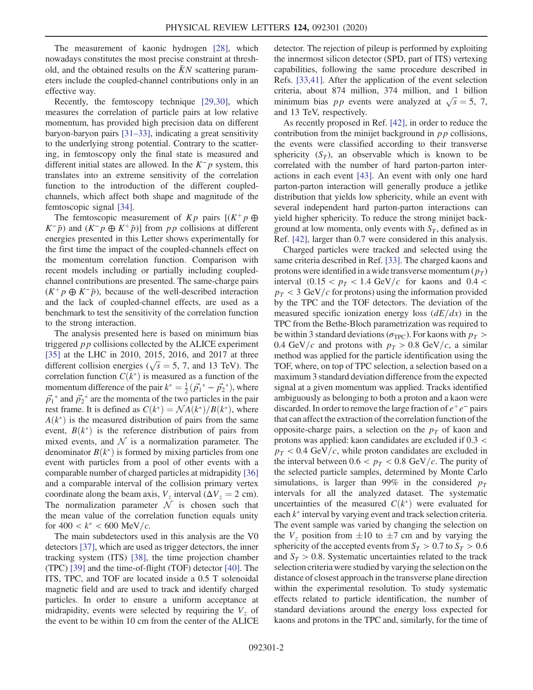The measurement of kaonic hydrogen [28], which nowadays constitutes the most precise constraint at threshold, and the obtained results on the  $\bar{K}N$  scattering parameters include the coupled-channel contributions only in an effective way.

Recently, the femtoscopy technique [29,30], which measures the correlation of particle pairs at low relative momentum, has provided high precision data on different baryon-baryon pairs [31–33], indicating a great sensitivity to the underlying strong potential. Contrary to the scattering, in femtoscopy only the final state is measured and different initial states are allowed. In the  $K^-p$  system, this translates into an extreme sensitivity of the correlation function to the introduction of the different coupledchannels, which affect both shape and magnitude of the femtoscopic signal [34].

The femtoscopic measurement of  $Kp$  pairs  $[(K^+p \bigoplus$  $K^-\bar{p}$  and  $(K^-p \oplus K^+\bar{p})$ ] from pp collisions at different energies presented in this Letter shows experimentally for the first time the impact of the coupled-channels effect on the momentum correlation function. Comparison with recent models including or partially including coupledchannel contributions are presented. The same-charge pairs  $(K^+p \oplus K^-\bar{p})$ , because of the well-described interaction and the lack of coupled-channel effects, are used as a benchmark to test the sensitivity of the correlation function to the strong interaction.

The analysis presented here is based on minimum bias triggered pp collisions collected by the ALICE experiment [35] at the LHC in 2010, 2015, 2016, and 2017 at three [35] at the LHC in 2010, 2015, 2016, and 2017 at three<br>different collision energies ( $\sqrt{s} = 5, 7$ , and 13 TeV). The<br>correlation function  $C(k^*)$  is measured as a function of the correlation function  $C(k^*)$  is measured as a function of the momentum difference of the pair  $k^* = \frac{1}{2}(\vec{x}^* - \vec{y}^*)$ , where momentum difference of the pair  $k^* = \frac{1}{2}(\vec{p_1}^* - \vec{p_2}^*)$ , where  $\vec{p}^*$  and  $\vec{p}^*$  are the momenta of the two particles in the pair  $\vec{p_1}^*$  and  $\vec{p_2}^*$  are the momenta of the two particles in the pair rest frame. It is defined as  $C(k^*) = \mathcal{N}A(k^*)/B(k^*)$ , where  $A(k^*)$  is the measured distribution of pairs from the same  $A(k^*)$  is the measured distribution of pairs from the same<br>event  $B(k^*)$  is the reference distribution of pairs from event,  $B(k^*)$  is the reference distribution of pairs from mixed events and  $N$  is a normalization parameter. The mixed events, and  $\mathcal N$  is a normalization parameter. The denominator  $B(k^*)$  is formed by mixing particles from one<br>event with particles from a pool of other events with a event with particles from a pool of other events with a comparable number of charged particles at midrapidity [36] and a comparable interval of the collision primary vertex coordinate along the beam axis,  $V_z$  interval ( $\Delta V_z = 2$  cm). The normalization parameter  $\mathcal N$  is chosen such that the mean value of the correlation function equals unity for  $400 < k^* < 600 \text{ MeV}/c$ .

The main subdetectors used in this analysis are the V0 detectors [37], which are used as trigger detectors, the inner tracking system (ITS) [38], the time projection chamber (TPC) [39] and the time-of-flight (TOF) detector [40]. The ITS, TPC, and TOF are located inside a 0.5 T solenoidal magnetic field and are used to track and identify charged particles. In order to ensure a uniform acceptance at midrapidity, events were selected by requiring the  $V<sub>z</sub>$  of the event to be within 10 cm from the center of the ALICE detector. The rejection of pileup is performed by exploiting the innermost silicon detector (SPD, part of ITS) vertexing capabilities, following the same procedure described in Refs. [33,41]. After the application of the event selection criteria, about 874 million, 374 million, and 1 billion criteria, about 8/4 million, 3/4 million, and 1 billion<br>minimum bias pp events were analyzed at  $\sqrt{s} = 5, 7$ ,<br>and 13 TeV respectively and 13 TeV, respectively.

As recently proposed in Ref. [42], in order to reduce the contribution from the minijet background in  $pp$  collisions, the events were classified according to their transverse sphericity  $(S_T)$ , an observable which is known to be correlated with the number of hard parton-parton interactions in each event [43]. An event with only one hard parton-parton interaction will generally produce a jetlike distribution that yields low sphericity, while an event with several independent hard parton-parton interactions can yield higher sphericity. To reduce the strong minijet background at low momenta, only events with  $S_T$ , defined as in Ref. [42], larger than 0.7 were considered in this analysis.

Charged particles were tracked and selected using the same criteria described in Ref. [33]. The charged kaons and protons were identified in a wide transverse momentum  $(p_T)$ interval  $(0.15 < p_T < 1.4 \text{ GeV}/c$  for kaons and  $0.4 <$  $p_T < 3$  GeV/c for protons) using the information provided by the TPC and the TOF detectors. The deviation of the measured specific ionization energy loss  $(dE/dx)$  in the TPC from the Bethe-Bloch parametrization was required to be within 3 standard deviations ( $\sigma_{TPC}$ ). For kaons with  $p_T >$ 0.4 GeV/c and protons with  $p_T > 0.8$  GeV/c, a similar method was applied for the particle identification using the TOF, where, on top of TPC selection, a selection based on a maximum 3 standard deviation difference from the expected signal at a given momentum was applied. Tracks identified ambiguously as belonging to both a proton and a kaon were discarded. In order to remove the large fraction of  $e^+e^-$  pairs that can affect the extraction of the correlation function of the opposite-charge pairs, a selection on the  $p<sub>T</sub>$  of kaon and protons was applied: kaon candidates are excluded if 0.3 <  $p_T < 0.4$  GeV/c, while proton candidates are excluded in the interval between  $0.6 < p_T < 0.8$  GeV/c. The purity of the selected particle samples, determined by Monte Carlo simulations, is larger than 99% in the considered  $p_T$ intervals for all the analyzed dataset. The systematic uncertainties of the measured  $C(k^*)$  were evaluated for each  $k^*$  interval by varying event and track selection criteria each  $k^*$  interval by varying event and track selection criteria. The event sample was varied by changing the selection on the  $V_z$  position from  $\pm 10$  to  $\pm 7$  cm and by varying the sphericity of the accepted events from  $S_T > 0.7$  to  $S_T > 0.6$ and  $S_T > 0.8$ . Systematic uncertainties related to the track selection criteria were studied by varying the selection on the distance of closest approach in the transverse plane direction within the experimental resolution. To study systematic effects related to particle identification, the number of standard deviations around the energy loss expected for kaons and protons in the TPC and, similarly, for the time of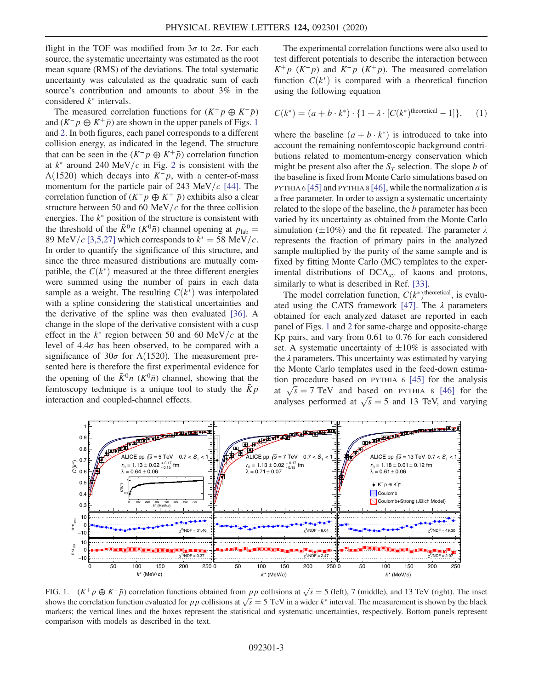flight in the TOF was modified from  $3\sigma$  to  $2\sigma$ . For each source, the systematic uncertainty was estimated as the root mean square (RMS) of the deviations. The total systematic uncertainty was calculated as the quadratic sum of each source's contribution and amounts to about 3% in the considered  $k^*$  intervals.

The measured correlation functions for  $(K^+p \oplus K^-p)$ and  $(K^-p \oplus K^+\bar{p})$  are shown in the upper panels of Figs. 1 and 2. In both figures, each panel corresponds to a different collision energy, as indicated in the legend. The structure that can be seen in the  $(K^-p \oplus K^+\bar{p})$  correlation function at  $k^*$  around 240 MeV/c in Fig. 2 is consistent with the  $\Lambda(1520)$  which decays into  $K^-p$ , with a center-of-mass momentum for the particle pair of 243 MeV/ $c$  [44]. The correlation function of  $(K^-p \oplus K^+ \bar{p})$  exhibits also a clear structure between 50 and 60 MeV/ $c$  for the three collision energies. The  $k^*$  position of the structure is consistent with the threshold of the  $\bar{K}^0 n$  ( $K^0 \bar{n}$ ) channel opening at  $p_{\text{lab}} =$ 89 MeV/c [3,5,27] which corresponds to  $k^* = 58$  MeV/c.<br>In order to quantify the significance of this structure and In order to quantify the significance of this structure, and since the three measured distributions are mutually compatible, the  $C(k^*)$  measured at the three different energies<br>were summed using the number of pairs in each data were summed using the number of pairs in each data sample as a weight. The resulting  $C(k^*)$  was interpolated with a spline considering the statistical uncertainties and with a spline considering the statistical uncertainties and the derivative of the spline was then evaluated [36]. A change in the slope of the derivative consistent with a cusp effect in the  $k^*$  region between 50 and 60 MeV/c at the level of  $4.4\sigma$  has been observed, to be compared with a significance of 30 $\sigma$  for  $\Lambda(1520)$ . The measurement presented here is therefore the first experimental evidence for the opening of the  $\bar{K}^0 n$  ( $K^0 \bar{n}$ ) channel, showing that the femtoscopy technique is a unique tool to study the  $\bar{K}p$ interaction and coupled-channel effects.

The experimental correlation functions were also used to test different potentials to describe the interaction between  $K^+p$  (K<sup>-</sup> $\bar{p}$ ) and K<sup>-</sup>p (K<sup>+</sup> $\bar{p}$ ). The measured correlation function  $C(k^*)$  is compared with a theoretical function<br>using the following equation using the following equation

$$
C(k^*) = (a+b \cdot k^*) \cdot \{1+\lambda \cdot [C(k^*)^{\text{theoretical}} - 1]\},\qquad(1)
$$

where the baseline  $(a + b \cdot k^*)$  is introduced to take into<br>account the remaining nonfemtoscopic background contriaccount the remaining nonfemtoscopic background contributions related to momentum-energy conservation which might be present also after the  $S_T$  selection. The slope b of the baseline is fixed from Monte Carlo simulations based on PYTHIA 6 [45] and PYTHIA 8 [46], while the normalization  $\alpha$  is a free parameter. In order to assign a systematic uncertainty related to the slope of the baseline, the *b* parameter has been varied by its uncertainty as obtained from the Monte Carlo simulation ( $\pm 10\%$ ) and the fit repeated. The parameter  $\lambda$ represents the fraction of primary pairs in the analyzed sample multiplied by the purity of the same sample and is fixed by fitting Monte Carlo (MC) templates to the experimental distributions of  $DCA_{xy}$  of kaons and protons, similarly to what is described in Ref. [33].

The model correlation function,  $C(k^*)^{\text{theoretical}}$ , is evalu-<br>d using the CATS framework [47]. The *l* parameters ated using the CATS framework [47]. The  $\lambda$  parameters obtained for each analyzed dataset are reported in each panel of Figs. 1 and 2 for same-charge and opposite-charge Kp pairs, and vary from 0.61 to 0.76 for each considered set. A systematic uncertainty of  $\pm 10\%$  is associated with the  $\lambda$  parameters. This uncertainty was estimated by varying the Monte Carlo templates used in the feed-down estimation procedure based on PYTHIA 6 [45] for the analysis tion procedure based on PYTHIA 6 [45] for the analysis<br>at  $\sqrt{s} = 7$  TeV and based on PYTHIA 8 [46] for the<br>analyses performed at  $\sqrt{s} = 5$  and 13 TeV and varying at  $\sqrt{s} = 7$  TeV and based on PYTHIA 8 [46] for the analyses performed at  $\sqrt{s} = 5$  and 13 TeV, and varying



FIG. 1.  $(K^+p \oplus K^-\bar{p})$  correlation functions obtained from pp collisions at  $\sqrt{s} = 5$  (left), 7 (middle), and 13 TeV (right). The inset shows the correlation function evaluated for a n collisions at  $\sqrt{s} = 5$  TeV in a FIG. 1.  $(K \nmid p \oplus K \nmid p)$  correlation functions obtained from pp collisions at  $\sqrt{s} = 5$  (left), / (middle), and 13 TeV (right). The inset shows the correlation function evaluated for pp collisions at  $\sqrt{s} = 5$  TeV in a wi markers; the vertical lines and the boxes represent the statistical and systematic uncertainties, respectively. Bottom panels represent comparison with models as described in the text.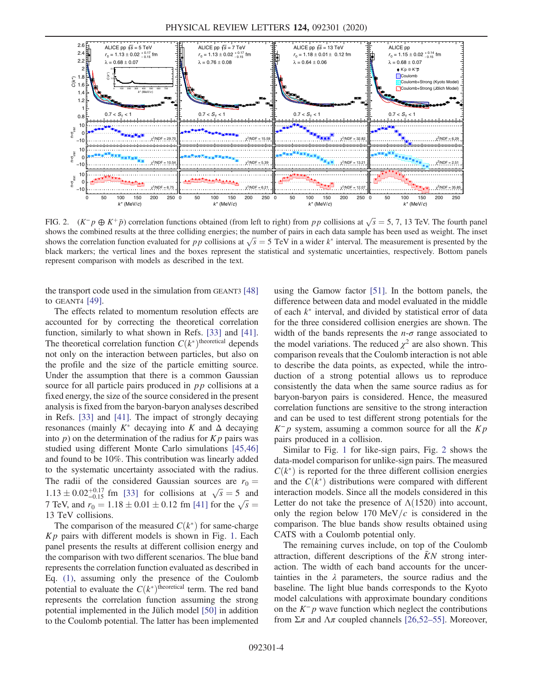

FIG. 2.  $(K^-p \oplus K^+\bar{p})$  correlation functions obtained (from left to right) from pp collisions at  $\sqrt{s} = 5, 7, 13$  TeV. The fourth panel<br>shows the combined results at the three colliding energies: the number of pairs in shows the combined results at the three colliding energies; the number of pairs in each data sample has been used as weight. The inset shows the combined results at the three colliding energies; the number of pairs in each data sample has been used as weight. The inset<br>shows the correlation function evaluated for pp collisions at  $\sqrt{s} = 5 \text{ TeV}$  in a wid black markers; the vertical lines and the boxes represent the statistical and systematic uncertainties, respectively. Bottom panels represent comparison with models as described in the text.

the transport code used in the simulation from GEANT3 [48] to GEANT4 [49].

The effects related to momentum resolution effects are accounted for by correcting the theoretical correlation function, similarly to what shown in Refs. [33] and [41]. The theoretical correlation function  $C(k^*)^{\text{theoretical}}$  depends<br>not only on the interaction between particles but also on not only on the interaction between particles, but also on the profile and the size of the particle emitting source. Under the assumption that there is a common Gaussian source for all particle pairs produced in pp collisions at a fixed energy, the size of the source considered in the present analysis is fixed from the baryon-baryon analyses described in Refs. [33] and [41]. The impact of strongly decaying resonances (mainly  $K^*$  decaying into K and  $\Delta$  decaying into  $p$ ) on the determination of the radius for  $Kp$  pairs was studied using different Monte Carlo simulations [45,46] and found to be 10%. This contribution was linearly added to the systematic uncertainty associated with the radius. The radii of the considered Gaussian sources are  $r_0 =$ 1.13 ± 0.02<sup>+0.17</sup> fm [33] for collisions at  $\sqrt{s} = 5$  and<br>7.TeV and  $r_0 = 1.18 \pm 0.01 \pm 0.13$  fm [411] for the  $\sqrt{s} = 7$ 1.13 ± 0.02<sup>-</sup><sub>0.15</sub> fm [33] for collisions at  $\sqrt{s} = 5$  and<br>7 TeV, and  $r_0 = 1.18 \pm 0.01 \pm 0.12$  fm [41] for the  $\sqrt{s} = 13$  TeV collisions 13 TeV collisions.

The comparison of the measured  $C(k^*)$  for same-charge<br>p pairs with different models is shown in Fig. 1. Each  $Kp$  pairs with different models is shown in Fig. 1. Each panel presents the results at different collision energy and the comparison with two different scenarios. The blue band represents the correlation function evaluated as described in Eq. (1), assuming only the presence of the Coulomb potential to evaluate the  $C(k^*)$ <sup>theoretical</sup> term. The red band<br>represents the correlation function assuming the strong represents the correlation function assuming the strong potential implemented in the Jülich model [50] in addition to the Coulomb potential. The latter has been implemented using the Gamow factor [51]. In the bottom panels, the difference between data and model evaluated in the middle of each  $k^*$  interval, and divided by statistical error of data for the three considered collision energies are shown. The width of the bands represents the  $n-\sigma$  range associated to the model variations. The reduced  $\chi^2$  are also shown. This comparison reveals that the Coulomb interaction is not able to describe the data points, as expected, while the introduction of a strong potential allows us to reproduce consistently the data when the same source radius as for baryon-baryon pairs is considered. Hence, the measured correlation functions are sensitive to the strong interaction and can be used to test different strong potentials for the  $K^-p$  system, assuming a common source for all the  $Kp$ pairs produced in a collision.

Similar to Fig. 1 for like-sign pairs, Fig. 2 shows the data-model comparison for unlike-sign pairs. The measured  $C(k^*)$  is reported for the three different collision energies<br>and the  $C(k^*)$  distributions were compared with different and the  $C(\vec{k}^*)$  distributions were compared with different<br>interaction models. Since all the models considered in this interaction models. Since all the models considered in this Letter do not take the presence of  $\Lambda(1520)$  into account, only the region below 170 MeV/ $c$  is considered in the comparison. The blue bands show results obtained using CATS with a Coulomb potential only.

The remaining curves include, on top of the Coulomb attraction, different descriptions of the  $\bar{K}N$  strong interaction. The width of each band accounts for the uncertainties in the  $\lambda$  parameters, the source radius and the baseline. The light blue bands corresponds to the Kyoto model calculations with approximate boundary conditions on the  $K^-p$  wave function which neglect the contributions from  $\Sigma \pi$  and  $\Lambda \pi$  coupled channels [26,52–55]. Moreover,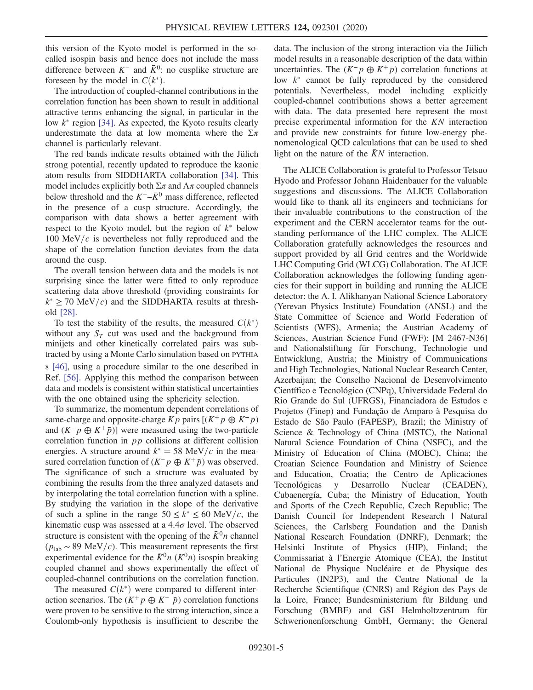this version of the Kyoto model is performed in the socalled isospin basis and hence does not include the mass difference between  $K^-$  and  $\bar{K}^0$ : no cusplike structure are foreseen by the model in  $C(k^*)$ .<br>The introduction of counled-ch

The introduction of coupled-channel contributions in the correlation function has been shown to result in additional attractive terms enhancing the signal, in particular in the low  $k^*$  region [34]. As expected, the Kyoto results clearly underestimate the data at low momenta where the  $\Sigma \pi$ channel is particularly relevant.

The red bands indicate results obtained with the Jülich strong potential, recently updated to reproduce the kaonic atom results from SIDDHARTA collaboration [34]. This model includes explicitly both  $\Sigma \pi$  and  $\Lambda \pi$  coupled channels below threshold and the  $K^-\text{-}K^0$  mass difference, reflected in the presence of a cusp structure. Accordingly, the comparison with data shows a better agreement with respect to the Kyoto model, but the region of  $k^*$  below 100 MeV/ $c$  is nevertheless not fully reproduced and the shape of the correlation function deviates from the data around the cusp.

The overall tension between data and the models is not surprising since the latter were fitted to only reproduce scattering data above threshold (providing constraints for  $k^* \ge 70$  MeV/c) and the SIDDHARTA results at threshold [28].

To test the stability of the results, the measured  $C(k^*)$ without any  $S_T$  cut was used and the background from minijets and other kinetically correlated pairs was subtracted by using a Monte Carlo simulation based on PYTHIA 8 [46], using a procedure similar to the one described in Ref. [56]. Applying this method the comparison between data and models is consistent within statistical uncertainties with the one obtained using the sphericity selection.

To summarize, the momentum dependent correlations of same-charge and opposite-charge Kp pairs  $[(K^+p \oplus K^- \bar{p})$ and  $(K^-p \oplus K^+\bar{p})$ ] were measured using the two-particle correlation function in  $pp$  collisions at different collision energies. A structure around  $k^* = 58 \text{ MeV}/c$  in the mea-<br>sured correlation function of  $(K^- n \oplus K^+ \bar{n})$  was observed sured correlation function of  $(K^-p \oplus K^+\bar{p})$  was observed. The significance of such a structure was evaluated by combining the results from the three analyzed datasets and by interpolating the total correlation function with a spline. By studying the variation in the slope of the derivative of such a spline in the range  $50 \le k^* \le 60$  MeV/c, the kinematic cusp was assessed at a  $4.4\sigma$  level. The observed structure is consistent with the opening of the  $\bar{K}^0 n$  channel  $(p_{\text{lab}} \sim 89 \text{ MeV}/c)$ . This measurement represents the first experimental evidence for the  $\bar{K}^0 n$  ( $K^0 \bar{n}$ ) isospin breaking coupled channel and shows experimentally the effect of coupled-channel contributions on the correlation function.

The measured  $C(k^*)$  were compared to different inter-<br>tion scenarios. The  $(K^+ n \oplus K^- \bar{n})$  correlation functions action scenarios. The  $(K^+p \oplus K^- \bar{p})$  correlation functions were proven to be sensitive to the strong interaction, since a Coulomb-only hypothesis is insufficient to describe the data. The inclusion of the strong interaction via the Jülich model results in a reasonable description of the data within uncertainties. The  $(K^-p \oplus K^+\bar{p})$  correlation functions at low  $k^*$  cannot be fully reproduced by the considered potentials. Nevertheless, model including explicitly coupled-channel contributions shows a better agreement with data. The data presented here represent the most precise experimental information for the KN interaction and provide new constraints for future low-energy phenomenological QCD calculations that can be used to shed light on the nature of the  $\bar{K}N$  interaction.

The ALICE Collaboration is grateful to Professor Tetsuo Hyodo and Professor Johann Haidenbauer for the valuable suggestions and discussions. The ALICE Collaboration would like to thank all its engineers and technicians for their invaluable contributions to the construction of the experiment and the CERN accelerator teams for the outstanding performance of the LHC complex. The ALICE Collaboration gratefully acknowledges the resources and support provided by all Grid centres and the Worldwide LHC Computing Grid (WLCG) Collaboration. The ALICE Collaboration acknowledges the following funding agencies for their support in building and running the ALICE detector: the A. I. Alikhanyan National Science Laboratory (Yerevan Physics Institute) Foundation (ANSL) and the State Committee of Science and World Federation of Scientists (WFS), Armenia; the Austrian Academy of Sciences, Austrian Science Fund (FWF): [M 2467-N36] and Nationalstiftung für Forschung, Technologie und Entwicklung, Austria; the Ministry of Communications and High Technologies, National Nuclear Research Center, Azerbaijan; the Conselho Nacional de Desenvolvimento Científico e Tecnológico (CNPq), Universidade Federal do Rio Grande do Sul (UFRGS), Financiadora de Estudos e Projetos (Finep) and Fundação de Amparo à Pesquisa do Estado de São Paulo (FAPESP), Brazil; the Ministry of Science & Technology of China (MSTC), the National Natural Science Foundation of China (NSFC), and the Ministry of Education of China (MOEC), China; the Croatian Science Foundation and Ministry of Science and Education, Croatia; the Centro de Aplicaciones Tecnológicas y Desarrollo Nuclear (CEADEN), Cubaenergía, Cuba; the Ministry of Education, Youth and Sports of the Czech Republic, Czech Republic; The Danish Council for Independent Research | Natural Sciences, the Carlsberg Foundation and the Danish National Research Foundation (DNRF), Denmark; the Helsinki Institute of Physics (HIP), Finland; the Commissariat à l'Energie Atomique (CEA), the Institut National de Physique Nucléaire et de Physique des Particules (IN2P3), and the Centre National de la Recherche Scientifique (CNRS) and Région des Pays de la Loire, France; Bundesministerium für Bildung und Forschung (BMBF) and GSI Helmholtzzentrum für Schwerionenforschung GmbH, Germany; the General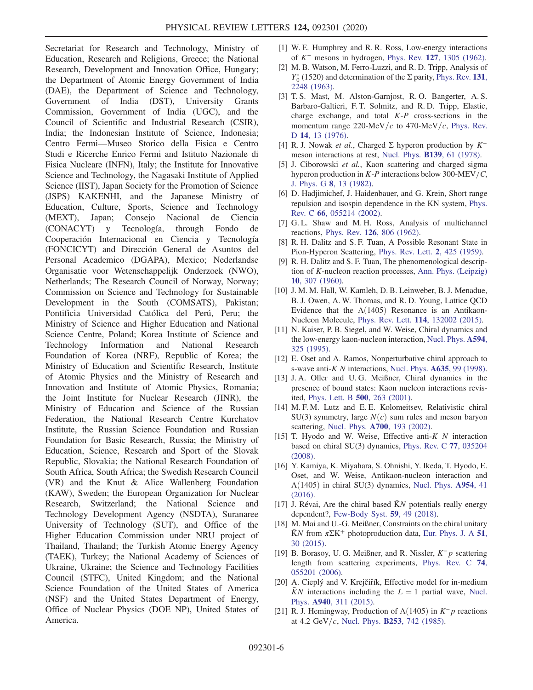Secretariat for Research and Technology, Ministry of Education, Research and Religions, Greece; the National Research, Development and Innovation Office, Hungary; the Department of Atomic Energy Government of India (DAE), the Department of Science and Technology, Government of India (DST), University Grants Commission, Government of India (UGC), and the Council of Scientific and Industrial Research (CSIR), India; the Indonesian Institute of Science, Indonesia; Centro Fermi—Museo Storico della Fisica e Centro Studi e Ricerche Enrico Fermi and Istituto Nazionale di Fisica Nucleare (INFN), Italy; the Institute for Innovative Science and Technology, the Nagasaki Institute of Applied Science (IIST), Japan Society for the Promotion of Science (JSPS) KAKENHI, and the Japanese Ministry of Education, Culture, Sports, Science and Technology (MEXT), Japan; Consejo Nacional de Ciencia (CONACYT) y Tecnología, through Fondo de Cooperación Internacional en Ciencia y Tecnología (FONCICYT) and Dirección General de Asuntos del Personal Academico (DGAPA), Mexico; Nederlandse Organisatie voor Wetenschappelijk Onderzoek (NWO), Netherlands; The Research Council of Norway, Norway; Commission on Science and Technology for Sustainable Development in the South (COMSATS), Pakistan; Pontificia Universidad Católica del Perú, Peru; the Ministry of Science and Higher Education and National Science Centre, Poland; Korea Institute of Science and Technology Information and National Research Foundation of Korea (NRF), Republic of Korea; the Ministry of Education and Scientific Research, Institute of Atomic Physics and the Ministry of Research and Innovation and Institute of Atomic Physics, Romania; the Joint Institute for Nuclear Research (JINR), the Ministry of Education and Science of the Russian Federation, the National Research Centre Kurchatov Institute, the Russian Science Foundation and Russian Foundation for Basic Research, Russia; the Ministry of Education, Science, Research and Sport of the Slovak Republic, Slovakia; the National Research Foundation of South Africa, South Africa; the Swedish Research Council (VR) and the Knut & Alice Wallenberg Foundation (KAW), Sweden; the European Organization for Nuclear Research, Switzerland; the National Science and Technology Development Agency (NSDTA), Suranaree University of Technology (SUT), and Office of the Higher Education Commission under NRU project of Thailand, Thailand; the Turkish Atomic Energy Agency (TAEK), Turkey; the National Academy of Sciences of Ukraine, Ukraine; the Science and Technology Facilities Council (STFC), United Kingdom; and the National Science Foundation of the United States of America (NSF) and the United States Department of Energy, Office of Nuclear Physics (DOE NP), United States of America.

- [1] W. E. Humphrey and R. R. Ross, Low-energy interactions of  $K^-$  mesons in hydrogen, Phys. Rev. 127[, 1305 \(1962\).](https://doi.org/10.1103/PhysRev.127.1305)
- [2] M. B. Watson, M. Ferro-Luzzi, and R. D. Tripp, Analysis of  $Y_0^*$  (1520) and determination of the  $\Sigma$  parity, [Phys. Rev.](https://doi.org/10.1103/PhysRev.131.2248) 131, [2248 \(1963\)](https://doi.org/10.1103/PhysRev.131.2248).
- [3] T. S. Mast, M. Alston-Garnjost, R. O. Bangerter, A. S. Barbaro-Galtieri, F. T. Solmitz, and R. D. Tripp, Elastic, charge exchange, and total  $K-P$  cross-sections in the momentum range 220-MeV/c to 470-MeV/c, [Phys. Rev.](https://doi.org/10.1103/PhysRevD.14.13) D 14[, 13 \(1976\)](https://doi.org/10.1103/PhysRevD.14.13).
- [4] R. J. Nowak et al., Charged Σ hyperon production by  $K^$ meson interactions at rest, [Nucl. Phys.](https://doi.org/10.1016/0550-3213(78)90179-7) B139, 61 (1978).
- [5] J. Ciborowski et al., Kaon scattering and charged sigma hyperon production in  $K-P$  interactions below 300-MEV/C, J. Phys. G 8[, 13 \(1982\).](https://doi.org/10.1088/0305-4616/8/1/005)
- [6] D. Hadjimichef, J. Haidenbauer, and G. Krein, Short range repulsion and isospin dependence in the KN system, [Phys.](https://doi.org/10.1103/PhysRevC.66.055214) Rev. C 66[, 055214 \(2002\).](https://doi.org/10.1103/PhysRevC.66.055214)
- [7] G. L. Shaw and M. H. Ross, Analysis of multichannel reactions, Phys. Rev. 126[, 806 \(1962\)](https://doi.org/10.1103/PhysRev.126.806).
- [8] R. H. Dalitz and S. F. Tuan, A Possible Resonant State in Pion-Hyperon Scattering, [Phys. Rev. Lett.](https://doi.org/10.1103/PhysRevLett.2.425) 2, 425 (1959).
- [9] R. H. Dalitz and S. F. Tuan, The phenomenological description of K-nucleon reaction processes, [Ann. Phys. \(Leipzig\)](https://doi.org/10.1016/0003-4916(60)90001-4) 10[, 307 \(1960\).](https://doi.org/10.1016/0003-4916(60)90001-4)
- [10] J. M. M. Hall, W. Kamleh, D. B. Leinweber, B. J. Menadue, B. J. Owen, A. W. Thomas, and R. D. Young, Lattice QCD Evidence that the  $\Lambda(1405)$  Resonance is an Antikaon-Nucleon Molecule, Phys. Rev. Lett. 114[, 132002 \(2015\)](https://doi.org/10.1103/PhysRevLett.114.132002).
- [11] N. Kaiser, P. B. Siegel, and W. Weise, Chiral dynamics and the low-energy kaon-nucleon interaction, [Nucl. Phys.](https://doi.org/10.1016/0375-9474(95)00362-5) A594, [325 \(1995\)](https://doi.org/10.1016/0375-9474(95)00362-5).
- [12] E. Oset and A. Ramos, Nonperturbative chiral approach to s-wave anti-K N interactions, [Nucl. Phys.](https://doi.org/10.1016/S0375-9474(98)00170-5) A635, 99 (1998).
- [13] J. A. Oller and U. G. Meißner, Chiral dynamics in the presence of bound states: Kaon nucleon interactions revisited, [Phys. Lett. B](https://doi.org/10.1016/S0370-2693(01)00078-8) 500, 263 (2001).
- [14] M. F. M. Lutz and E. E. Kolomeitsev, Relativistic chiral SU(3) symmetry, large  $N(c)$  sum rules and meson baryon scattering, Nucl. Phys. A700[, 193 \(2002\).](https://doi.org/10.1016/S0375-9474(01)01312-4)
- [15] T. Hyodo and W. Weise, Effective anti- $K$  N interaction based on chiral SU(3) dynamics, [Phys. Rev. C](https://doi.org/10.1103/PhysRevC.77.035204) 77, 035204 [\(2008\).](https://doi.org/10.1103/PhysRevC.77.035204)
- [16] Y. Kamiya, K. Miyahara, S. Ohnishi, Y. Ikeda, T. Hyodo, E. Oset, and W. Weise, Antikaon-nucleon interaction and  $\Lambda(1405)$  in chiral SU(3) dynamics, [Nucl. Phys.](https://doi.org/10.1016/j.nuclphysa.2016.04.013) A954, 41 [\(2016\).](https://doi.org/10.1016/j.nuclphysa.2016.04.013)
- [17] J. Révai, Are the chiral based  $\bar{K}N$  potentials really energy dependent?, [Few-Body Syst.](https://doi.org/10.1007/s00601-018-1371-1) 59, 49 (2018).
- [18] M. Mai and U.-G. Meißner, Constraints on the chiral unitary  $\bar{K}N$  from  $\pi \Sigma K^{+}$  photoproduction data, [Eur. Phys. J. A](https://doi.org/10.1140/epja/i2015-15030-3) 51, [30 \(2015\).](https://doi.org/10.1140/epja/i2015-15030-3)
- [19] B. Borasoy, U. G. Meißner, and R. Nissler, K−p scattering length from scattering experiments, [Phys. Rev. C](https://doi.org/10.1103/PhysRevC.74.055201) 74, [055201 \(2006\).](https://doi.org/10.1103/PhysRevC.74.055201)
- [20] A. Cieplý and V. Krejčiřík, Effective model for in-medium  $\bar{K}N$  interactions including the  $L = 1$  partial wave, [Nucl.](https://doi.org/10.1016/j.nuclphysa.2015.05.004) Phys. A940[, 311 \(2015\)](https://doi.org/10.1016/j.nuclphysa.2015.05.004).
- [21] R. J. Hemingway, Production of  $\Lambda(1405)$  in K<sup>-</sup>p reactions at 4.2 GeV/ $c$ , Nucl. Phys. **B253**[, 742 \(1985\)](https://doi.org/10.1016/0550-3213(85)90556-5).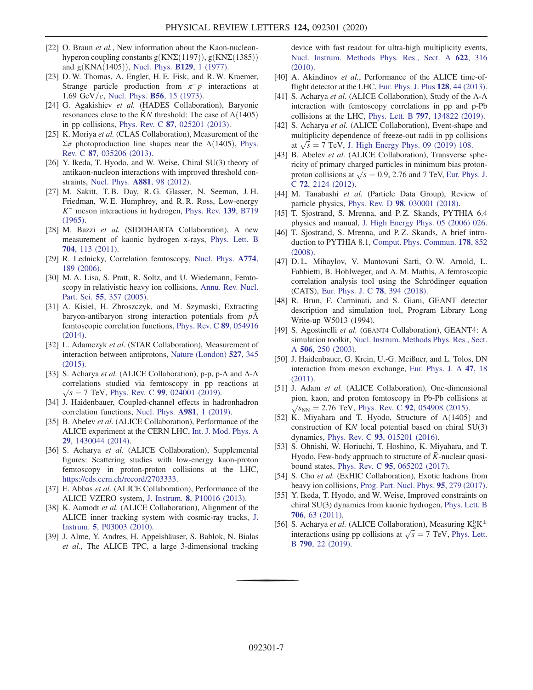- [22] O. Braun et al., New information about the Kaon-nucleonhyperon coupling constants g $(KN\Sigma(1197))$ , g $(KN\Sigma(1385))$ and  $g(KN\Lambda(1405))$ , [Nucl. Phys.](https://doi.org/10.1016/0550-3213(77)90015-3) **B129**, 1 (1977).
- [23] D. W. Thomas, A. Engler, H. E. Fisk, and R. W. Kraemer, Strange particle production from  $\pi^- p$  interactions at 1.69 GeV/c, [Nucl. Phys.](https://doi.org/10.1016/0550-3213(73)90217-4) **B56**, 15 (1973).
- [24] G. Agakishiev et al. (HADES Collaboration), Baryonic resonances close to the  $\bar{K}N$  threshold: The case of  $\Lambda(1405)$ in pp collisions, Phys. Rev. C 87[, 025201 \(2013\)](https://doi.org/10.1103/PhysRevC.87.025201).
- [25] K. Moriya et al. (CLAS Collaboration), Measurement of the  $\Sigma \pi$  photoproduction line shapes near the Λ(1405), [Phys.](https://doi.org/10.1103/PhysRevC.87.035206) Rev. C 87[, 035206 \(2013\).](https://doi.org/10.1103/PhysRevC.87.035206)
- [26] Y. Ikeda, T. Hyodo, and W. Weise, Chiral SU(3) theory of antikaon-nucleon interactions with improved threshold constraints, [Nucl. Phys.](https://doi.org/10.1016/j.nuclphysa.2012.01.029) A881, 98 (2012).
- [27] M. Sakitt, T. B. Day, R. G. Glasser, N. Seeman, J. H. Friedman, W. E. Humphrey, and R. R. Ross, Low-energy K<sup>−</sup> meson interactions in hydrogen, [Phys. Rev.](https://doi.org/10.1103/PhysRev.139.B719) 139, B719 [\(1965\).](https://doi.org/10.1103/PhysRev.139.B719)
- [28] M. Bazzi et al. (SIDDHARTA Collaboration), A new measurement of kaonic hydrogen x-rays, [Phys. Lett. B](https://doi.org/10.1016/j.physletb.2011.09.011) 704[, 113 \(2011\)](https://doi.org/10.1016/j.physletb.2011.09.011).
- [29] R. Lednicky, Correlation femtoscopy, [Nucl. Phys.](https://doi.org/10.1016/j.nuclphysa.2006.06.040) A774, [189 \(2006\)](https://doi.org/10.1016/j.nuclphysa.2006.06.040).
- [30] M. A. Lisa, S. Pratt, R. Soltz, and U. Wiedemann, Femtoscopy in relativistic heavy ion collisions, [Annu. Rev. Nucl.](https://doi.org/10.1146/annurev.nucl.55.090704.151533) Part. Sci. 55[, 357 \(2005\)](https://doi.org/10.1146/annurev.nucl.55.090704.151533).
- [31] A. Kisiel, H. Zbroszczyk, and M. Szymaski, Extracting baryon-antibaryon strong interaction potentials from  $p\bar{\Lambda}$ femtoscopic correlation functions, [Phys. Rev. C](https://doi.org/10.1103/PhysRevC.89.054916) 89, 054916 [\(2014\).](https://doi.org/10.1103/PhysRevC.89.054916)
- [32] L. Adamczyk et al. (STAR Collaboration), Measurement of interaction between antiprotons, [Nature \(London\)](https://doi.org/10.1038/nature15724) 527, 345 [\(2015\).](https://doi.org/10.1038/nature15724)
- [33] S. Acharya et al. (ALICE Collaboration), p-p, p-Λ and Λ-Λ correlations studied via femtoscopy in pp reactions at  $\sqrt{s}$  = 7 TeV, Phys. Rev. C 99[, 024001 \(2019\).](https://doi.org/10.1103/PhysRevC.99.024001)
- [34] J. Haidenbauer, Coupled-channel effects in hadronhadron correlation functions, [Nucl. Phys.](https://doi.org/10.1016/j.nuclphysa.2018.10.090) A981, 1 (2019).
- [35] B. Abelev et al. (ALICE Collaboration), Performance of the ALICE experiment at the CERN LHC, [Int. J. Mod. Phys. A](https://doi.org/10.1142/S0217751X14300440) 29[, 1430044 \(2014\).](https://doi.org/10.1142/S0217751X14300440)
- [36] S. Acharya et al. (ALICE Collaboration), Supplemental figures: Scattering studies with low-energy kaon-proton femtoscopy in proton-proton collisions at the LHC, [https://cds.cern.ch/record/2703333.](https://cds.cern.ch/record/2703333)
- [37] E. Abbas et al. (ALICE Collaboration), Performance of the ALICE VZERO system, J. Instrum. 8[, P10016 \(2013\)](https://doi.org/10.1088/1748-0221/8/10/P10016).
- [38] K. Aamodt et al. (ALICE Collaboration), Alignment of the ALICE inner tracking system with cosmic-ray tracks, [J.](https://doi.org/10.1088/1748-0221/5/03/P03003) Instrum. 5[, P03003 \(2010\).](https://doi.org/10.1088/1748-0221/5/03/P03003)
- [39] J. Alme, Y. Andres, H. Appelshäuser, S. Bablok, N. Bialas et al., The ALICE TPC, a large 3-dimensional tracking

device with fast readout for ultra-high multiplicity events, [Nucl. Instrum. Methods Phys. Res., Sect. A](https://doi.org/10.1016/j.nima.2010.04.042) 622, 316 [\(2010\).](https://doi.org/10.1016/j.nima.2010.04.042)

- [40] A. Akindinov et al., Performance of the ALICE time-offlight detector at the LHC, [Eur. Phys. J. Plus](https://doi.org/10.1140/epjp/i2013-13044-x) 128, 44 (2013).
- [41] S. Acharya et al. (ALICE Collaboration), Study of the Λ-Λ interaction with femtoscopy correlations in pp and p-Pb collisions at the LHC, Phys. Lett. B 797[, 134822 \(2019\)](https://doi.org/10.1016/j.physletb.2019.134822).
- [42] S. Acharya et al. (ALICE Collaboration), Event-shape and multiplicity dependence of freeze-out radii in pp collisions multiplicity dependence of freeze-out radii in pp collis<br>at  $\sqrt{s} = 7$  TeV, [J. High Energy Phys. 09 \(2019\) 108.](https://doi.org/10.1007/JHEP09(2019)108)<br>B. Abelev *et al.* (ALICE Collaboration) Transverse s
- [43] B. Abelev et al. (ALICE Collaboration), Transverse sphericity of primary charged particles in minimum bias protonricity of primary charged particles in minimum bias proton-<br>proton collisions at  $\sqrt{s} = 0.9$ , 2.76 and 7 TeV, [Eur. Phys. J.](https://doi.org/10.1140/epjc/s10052-012-2124-9)<br>C 72, 2124 (2012) C 72[, 2124 \(2012\)](https://doi.org/10.1140/epjc/s10052-012-2124-9).
- [44] M. Tanabashi et al. (Particle Data Group), Review of particle physics, Phys. Rev. D 98[, 030001 \(2018\).](https://doi.org/10.1103/PhysRevD.98.030001)
- [45] T. Sjostrand, S. Mrenna, and P. Z. Skands, PYTHIA 6.4 physics and manual, [J. High Energy Phys. 05 \(2006\) 026.](https://doi.org/10.1088/1126-6708/2006/05/026)
- [46] T. Sjostrand, S. Mrenna, and P.Z. Skands, A brief introduction to PYTHIA 8.1, [Comput. Phys. Commun.](https://doi.org/10.1016/j.cpc.2008.01.036) 178, 852 [\(2008\).](https://doi.org/10.1016/j.cpc.2008.01.036)
- [47] D. L. Mihaylov, V. Mantovani Sarti, O. W. Arnold, L. Fabbietti, B. Hohlweger, and A. M. Mathis, A femtoscopic correlation analysis tool using the Schrödinger equation (CATS), [Eur. Phys. J. C](https://doi.org/10.1140/epjc/s10052-018-5859-0) 78, 394 (2018).
- [48] R. Brun, F. Carminati, and S. Giani, GEANT detector description and simulation tool, Program Library Long Write-up W5013 (1994).
- [49] S. Agostinelli et al. (GEANT4 Collaboration), GEANT4: A simulation toolkit, [Nucl. Instrum. Methods Phys. Res., Sect.](https://doi.org/10.1016/S0168-9002(03)01368-8) A 506[, 250 \(2003\).](https://doi.org/10.1016/S0168-9002(03)01368-8)
- [50] J. Haidenbauer, G. Krein, U.-G. Meißner, and L. Tolos, DN interaction from meson exchange, [Eur. Phys. J. A](https://doi.org/10.1140/epja/i2011-11018-3) 47, 18 [\(2011\).](https://doi.org/10.1140/epja/i2011-11018-3)
- [51] J. Adam et al. (ALICE Collaboration), One-dimensional pion, kaon, and proton femtoscopy in Pb-Pb collisions at  $\sqrt{s_{NN}}$  = 2.76 TeV, Phys. Rev. C 92[, 054908 \(2015\).](https://doi.org/10.1103/PhysRevC.92.054908)
- [52] K. Miyahara and T. Hyodo, Structure of  $\Lambda(1405)$  and construction of  $\bar{K}N$  local potential based on chiral SU(3) dynamics, Phys. Rev. C 93[, 015201 \(2016\).](https://doi.org/10.1103/PhysRevC.93.015201)
- [53] S. Ohnishi, W. Horiuchi, T. Hoshino, K. Miyahara, and T. Hyodo, Few-body approach to structure of  $\bar{K}$ -nuclear quasibound states, Phys. Rev. C 95[, 065202 \(2017\).](https://doi.org/10.1103/PhysRevC.95.065202)
- [54] S. Cho et al. (ExHIC Collaboration), Exotic hadrons from heavy ion collisions, [Prog. Part. Nucl. Phys.](https://doi.org/10.1016/j.ppnp.2017.02.002) 95, 279 (2017).
- [55] Y. Ikeda, T. Hyodo, and W. Weise, Improved constraints on chiral SU(3) dynamics from kaonic hydrogen, [Phys. Lett. B](https://doi.org/10.1016/j.physletb.2011.10.068) 706[, 63 \(2011\).](https://doi.org/10.1016/j.physletb.2011.10.068)
- [56] S. Acharya et al. (ALICE Collaboration), Measuring  $K_S^0 K^{\pm}$ S. Acharya *et al.* (ALICE Collaboration), Measuring  $K_S^R K^{\pm}$ <br>interactions using pp collisions at  $\sqrt{s} = 7$  TeV, [Phys. Lett.](https://doi.org/10.1016/j.physletb.2018.12.033)<br>R **790** 22 (2019) B 790[, 22 \(2019\)](https://doi.org/10.1016/j.physletb.2018.12.033).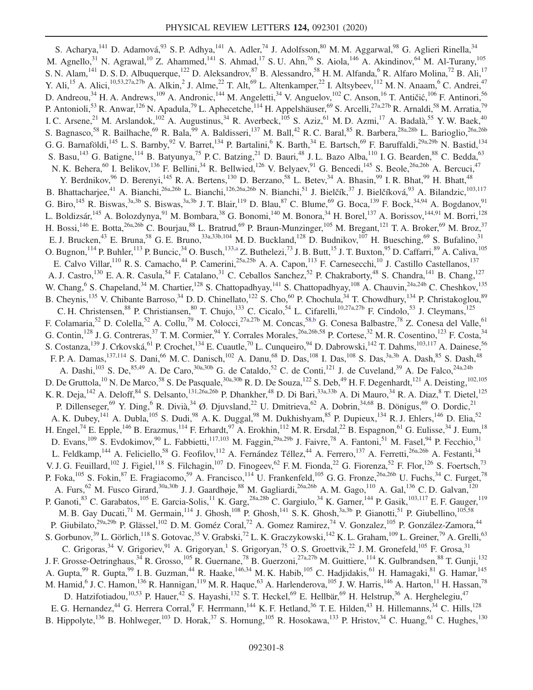S. Acharya,<sup>141</sup> D. Adamová,<sup>93</sup> S. P. Adhya,<sup>141</sup> A. Adler,<sup>74</sup> J. Adolfsson,<sup>80</sup> M. M. Aggarwal,<sup>98</sup> G. Aglieri Rinella,<sup>34</sup> M. Agnello,<sup>31</sup> N. Agrawal,<sup>10</sup> Z. Ahammed,<sup>141</sup> S. Ahmad,<sup>17</sup> S. U. Ahn,<sup>76</sup> S. Aiola,<sup>146</sup> A. Akindinov,<sup>64</sup> M. Al-Turany,<sup>105</sup> S. N. Alam,<sup>141</sup> D. S. D. Albuquerque,<sup>122</sup> D. Aleksandrov,<sup>87</sup> B. Alessandro,<sup>58</sup> H. M. Alfanda,<sup>6</sup> R. Alfaro Molina,<sup>72</sup> B. Ali,<sup>17</sup> Y. Ali,<sup>15</sup> A. Alici,<sup>10,53,27a,27b</sup> A. Alkin,<sup>2</sup> J. Alme,<sup>22</sup> T. Alt,<sup>69</sup> L. Altenkamper,<sup>22</sup> I. Altsybeev,<sup>112</sup> M. N. Anaam,<sup>6</sup> C. Andrei,<sup>47</sup> D. Andreou,<sup>34</sup> H. A. Andrews,<sup>109</sup> A. Andronic,<sup>144</sup> M. Angeletti,<sup>34</sup> V. Anguelov,<sup>102</sup> C. Anson,<sup>16</sup> T. Antičić,<sup>106</sup> F. Antinori,<sup>56</sup> P. Antonioli,<sup>53</sup> R. Anwar,<sup>126</sup> N. Apadula,<sup>79</sup> L. Aphecetche,<sup>114</sup> H. Appelshäuser,<sup>69</sup> S. Arcelli,<sup>27a,27b</sup> R. Arnaldi,<sup>58</sup> M. Arratia,<sup>79</sup> I. C. Arsene,<sup>21</sup> M. Arslandok,<sup>102</sup> A. Augustinus,<sup>34</sup> R. Averbeck,<sup>105</sup> S. Aziz,<sup>61</sup> M. D. Azmi,<sup>17</sup> A. Badalà,<sup>55</sup> Y. W. Baek,<sup>40</sup> S. Bagnasco,<sup>58</sup> R. Bailhache,<sup>69</sup> R. Bala,<sup>99</sup> A. Baldisseri,<sup>137</sup> M. Ball,<sup>42</sup> R. C. Baral,<sup>85</sup> R. Barbera,<sup>28a,28b</sup> L. Barioglio,<sup>26a,26b</sup> G. G. Barnaföldi,<sup>145</sup> L. S. Barnby,<sup>92</sup> V. Barret,<sup>134</sup> P. Bartalini,<sup>6</sup> K. Barth,<sup>34</sup> E. Bartsch,<sup>69</sup> F. Baruffaldi,<sup>29a,29b</sup> N. Bastid,<sup>134</sup> S. Basu,<sup>143</sup> G. Batigne,<sup>114</sup> B. Batyunya,<sup>75</sup> P. C. Batzing,<sup>21</sup> D. Bauri,<sup>48</sup> J. L. Bazo Alba,<sup>110</sup> I. G. Bearden,<sup>88</sup> C. Bedda,<sup>63</sup> N. K. Behera,<sup>60</sup> I. Belikov,<sup>136</sup> F. Bellini,<sup>34</sup> R. Bellwied,<sup>126</sup> V. Belyaev,<sup>91</sup> G. Bencedi,<sup>145</sup> S. Beole,<sup>26a,26b</sup> A. Bercuci,<sup>47</sup> Y. Berdnikov, <sup>96</sup> D. Berenyi, <sup>145</sup> R. A. Bertens, <sup>130</sup> D. Berzano, <sup>58</sup> L. Betev, <sup>34</sup> A. Bhasin, <sup>99</sup> I. R. Bhat, <sup>99</sup> H. Bhatt, <sup>48</sup> B. Bhattacharjee,<sup>41</sup> A. Bianchi,<sup>26a,26b</sup> L. Bianchi,<sup>126,26a,26b</sup> N. Bianchi,<sup>51</sup> J. Bielčík,<sup>37</sup> J. Bielčíková,<sup>93</sup> A. Bilandzic,<sup>103,117</sup> G. Biro,<sup>145</sup> R. Biswas,<sup>3a,3b</sup> S. Biswas,<sup>3a,3b</sup> J. T. Blair,<sup>119</sup> D. Blau,<sup>87</sup> C. Blume,<sup>69</sup> G. Boca,<sup>139</sup> F. Bock,<sup>34,94</sup> A. Bogdanov,<sup>91</sup> L. Boldizsár,<sup>145</sup> A. Bolozdynya,<sup>91</sup> M. Bombara,<sup>38</sup> G. Bonomi,<sup>140</sup> M. Bonora,<sup>34</sup> H. Borel,<sup>137</sup> A. Borissov,<sup>144,91</sup> M. Borri,<sup>128</sup> H. Bossi, <sup>146</sup> E. Botta, <sup>26a, 26b</sup> C. Bourjau, <sup>88</sup> L. Bratrud, <sup>69</sup> P. Braun-Munzinger, <sup>105</sup> M. Bregant, <sup>121</sup> T. A. Broker, <sup>69</sup> M. Broz, <sup>37</sup> E. J. Brucken,<sup>43</sup> E. Bruna,<sup>58</sup> G. E. Bruno,<sup>33a,33b,104</sup> M. D. Buckland,<sup>128</sup> D. Budnikov,<sup>107</sup> H. Buesching,<sup>69</sup> S. Bufalino,<sup>31</sup> O. Bugnon,  $^{114}$  P. Buhler,  $^{113}$  P. Buncic,  $^{34}$  O. Busch,  $^{133,a}$  Z. Buthelezi,  $^{73}$  J. B. Butt,  $^{15}$  J. T. Buxton,  $^{95}$  D. Caffarri,  $^{89}$  A. Caliva,  $^{105}$ E. Calvo Villar, <sup>110</sup> R. S. Camacho, <sup>44</sup> P. Camerini, <sup>25a, 25b</sup> A. A. Capon, <sup>113</sup> F. Carnesecchi, <sup>10</sup> J. Castillo Castellanos, <sup>137</sup> A. J. Castro,<sup>130</sup> E. A. R. Casula,<sup>54</sup> F. Catalano,<sup>31</sup> C. Ceballos Sanchez,<sup>52</sup> P. Chakraborty,<sup>48</sup> S. Chandra,<sup>141</sup> B. Chang,<sup>127</sup> W. Chang, <sup>6</sup> S. Chapeland, <sup>34</sup> M. Chartier, <sup>128</sup> S. Chattopadhyay, <sup>141</sup> S. Chattopadhyay, <sup>108</sup> A. Chauvin, <sup>24a, 24b</sup> C. Cheshkov, <sup>135</sup> B. Cheynis,<sup>135</sup> V. Chibante Barroso,<sup>34</sup> D. D. Chinellato,<sup>122</sup> S. Cho,<sup>60</sup> P. Chochula,<sup>34</sup> T. Chowdhury,<sup>134</sup> P. Christakoglou,<sup>89</sup> C. H. Christensen,  $88$  P. Christiansen,  $80$  T. Chujo,  $133$  C. Cicalo,  $54$  L. Cifarelli,  $10,27a,27b$  F. Cindolo,  $53$  J. Cleymans,  $125$ F. Colamaria,<sup>52</sup> D. Colella,<sup>52</sup> A. Collu,<sup>79</sup> M. Colocci,<sup>27a,27b</sup> M. Concas,<sup>58,b</sup> G. Conesa Balbastre,<sup>78</sup> Z. Conesa del Valle,<sup>61</sup> G. Contin,<sup>128</sup> J. G. Contreras,<sup>37</sup> T. M. Cormier,<sup>94</sup> Y. Corrales Morales,<sup>26a,26b,58</sup> P. Cortese,<sup>32</sup> M. R. Cosentino,<sup>123</sup> F. Costa,<sup>34</sup> S. Costanza, <sup>139</sup> J. Crkovská, <sup>61</sup> P. Crochet, <sup>134</sup> E. Cuautle, <sup>70</sup> L. Cunqueiro, <sup>94</sup> D. Dabrowski, <sup>142</sup> T. Dahms, <sup>103,117</sup> A. Dainese, <sup>56</sup> F. P. A. Damas,<sup>137,114</sup> S. Dani,<sup>66</sup> M. C. Danisch,<sup>102</sup> A. Danu,<sup>68</sup> D. Das,<sup>108</sup> I. Das,<sup>108</sup> S. Das,<sup>3a,3b</sup> A. Dash,<sup>85</sup> S. Dash,<sup>48</sup> A. Dashi,<sup>103</sup> S. De,<sup>85,49</sup> A. De Caro,<sup>30a,30b</sup> G. de Cataldo,<sup>52</sup> C. de Conti,<sup>121</sup> J. de Cuveland,<sup>39</sup> A. De Falco,<sup>24a,24b</sup> D. De Gruttola,  $^{10}$  N. De Marco,  $^{58}$  S. De Pasquale,  $^{30a,30b}$  R. D. De Souza,  $^{122}$  S. Deb,  $^{49}$  H. F. Degenhardt,  $^{121}$  A. Deisting,  $^{102,105}$ K. R. Deja, <sup>142</sup> A. Deloff, <sup>84</sup> S. Delsanto, <sup>131,26a,26b</sup> P. Dhankher, <sup>48</sup> D. Di Bari, <sup>33a,33b</sup> A. Di Mauro, <sup>34</sup> R. A. Diaz, <sup>8</sup> T. Dietel, <sup>125</sup> P. Dillenseger, <sup>69</sup> Y. Ding, <sup>6</sup> R. Divià, <sup>34</sup> Ø. Djuvsland, <sup>22</sup> U. Dmitrieva, <sup>62</sup> A. Dobrin, <sup>34,68</sup> B. Dönigus, <sup>69</sup> O. Dordic, <sup>21</sup> A. K. Dubey,<sup>141</sup> A. Dubla,<sup>105</sup> S. Dudi,<sup>98</sup> A. K. Duggal,<sup>98</sup> M. Dukhishyam,<sup>85</sup> P. Dupieux,<sup>134</sup> R. J. Ehlers,<sup>146</sup> D. Elia,<sup>52</sup> H. Engel,<sup>74</sup> E. Epple,<sup>146</sup> B. Erazmus,<sup>114</sup> F. Erhardt,<sup>97</sup> A. Erokhin,<sup>112</sup> M. R. Ersdal,<sup>22</sup> B. Espagnon,<sup>61</sup> G. Eulisse,<sup>34</sup> J. Eum,<sup>18</sup> D. Evans,  $^{109}$  S. Evdokimov, $^{90}$  L. Fabbietti,  $^{117,103}$  M. Faggin,  $^{29a,29b}$  J. Faivre,  $^{78}$  A. Fantoni,  $^{51}$  M. Fasel,  $^{94}$  P. Fecchio,  $^{31}$ L. Feldkamp,<sup>144</sup> A. Feliciello,<sup>58</sup> G. Feofilov,<sup>112</sup> A. Fernández Téllez,<sup>44</sup> A. Ferrero,<sup>137</sup> A. Ferretti,<sup>26a,26b</sup> A. Festanti,<sup>34</sup> V. J. G. Feuillard,<sup>102</sup> J. Figiel,<sup>118</sup> S. Filchagin,<sup>107</sup> D. Finogeev,<sup>62</sup> F. M. Fionda,<sup>22</sup> G. Fiorenza,<sup>52</sup> F. Flor,<sup>126</sup> S. Foertsch,<sup>73</sup> P. Foka,<sup>105</sup> S. Fokin,<sup>87</sup> E. Fragiacomo,<sup>59</sup> A. Francisco,<sup>114</sup> U. Frankenfeld,<sup>105</sup> G. G. Fronze,<sup>26a,26b</sup> U. Fuchs,<sup>34</sup> C. Furget,<sup>78</sup> A. Furs,<sup>62</sup> M. Fusco Girard,<sup>30a,30b</sup> J. J. Gaardhøje,<sup>88</sup> M. Gagliardi,<sup>26a,26b</sup> A. M. Gago,<sup>110</sup> A. Gal,<sup>136</sup> C. D. Galvan,<sup>120</sup> P. Ganoti,  $^{83}$  C. Garabatos,  $^{105}$  E. Garcia-Solis,  $^{11}$  K. Garg,  $^{28a,28b}$  C. Gargiulo,  $^{34}$  K. Garner,  $^{144}$  P. Gasik,  $^{103,117}$  E. F. Gauger,  $^{119}$ M. B. Gay Ducati,  $^{71}$  M. Germain,  $^{114}$  J. Ghosh,  $^{108}$  P. Ghosh,  $^{141}$  S. K. Ghosh,  $^{3a,3b}$  P. Gianotti,  $^{51}$  P. Giubellino,  $^{105,58}$ P. Giubilato,<sup>29a,29b</sup> P. Glässel,<sup>102</sup> D. M. Goméz Coral,<sup>72</sup> A. Gomez Ramirez,<sup>74</sup> V. Gonzalez,<sup>105</sup> P. González-Zamora,<sup>44</sup> S. Gorbunov,<sup>39</sup> L. Görlich,<sup>118</sup> S. Gotovac,<sup>35</sup> V. Grabski,<sup>72</sup> L. K. Graczykowski,<sup>142</sup> K. L. Graham,<sup>109</sup> L. Greiner,<sup>79</sup> A. Grelli,<sup>63</sup> C. Grigoras,<sup>34</sup> V. Grigoriev,<sup>91</sup> A. Grigoryan,<sup>1</sup> S. Grigoryan,<sup>75</sup> O. S. Groettvik,<sup>22</sup> J. M. Gronefeld,<sup>105</sup> F. Grosa,<sup>31</sup> J. F. Grosse-Oetringhaus,<sup>34</sup> R. Grosso,<sup>105</sup> R. Guernane,<sup>78</sup> B. Guerzoni,<sup>27a,27b</sup> M. Guittiere,<sup>114</sup> K. Gulbrandsen,<sup>88</sup> T. Gunji,<sup>132</sup> A. Gupta,<sup>99</sup> R. Gupta,<sup>99</sup> I. B. Guzman,<sup>44</sup> R. Haake,<sup>146,34</sup> M. K. Habib,<sup>105</sup> C. Hadjidakis,<sup>61</sup> H. Hamagaki,<sup>81</sup> G. Hamar,<sup>145</sup> M. Hamid,<sup>6</sup> J. C. Hamon,<sup>136</sup> R. Hannigan,<sup>119</sup> M. R. Haque,<sup>63</sup> A. Harlenderova,<sup>105</sup> J. W. Harris,<sup>146</sup> A. Harton,<sup>11</sup> H. Hassan,<sup>78</sup> D. Hatzifotiadou,<sup>10,53</sup> P. Hauer,<sup>42</sup> S. Hayashi,<sup>132</sup> S. T. Heckel,<sup>69</sup> E. Hellbär,<sup>69</sup> H. Helstrup,<sup>36</sup> A. Herghelegiu,<sup>47</sup> E. G. Hernandez,<sup>44</sup> G. Herrera Corral, <sup>9</sup> F. Herrmann, <sup>144</sup> K. F. Hetland, <sup>36</sup> T. E. Hilden, <sup>43</sup> H. Hillemanns, <sup>34</sup> C. Hills, <sup>128</sup> B. Hippolyte,<sup>136</sup> B. Hohlweger,<sup>103</sup> D. Horak,<sup>37</sup> S. Hornung,<sup>105</sup> R. Hosokawa,<sup>133</sup> P. Hristov,<sup>34</sup> C. Huang,<sup>61</sup> C. Hughes,<sup>130</sup>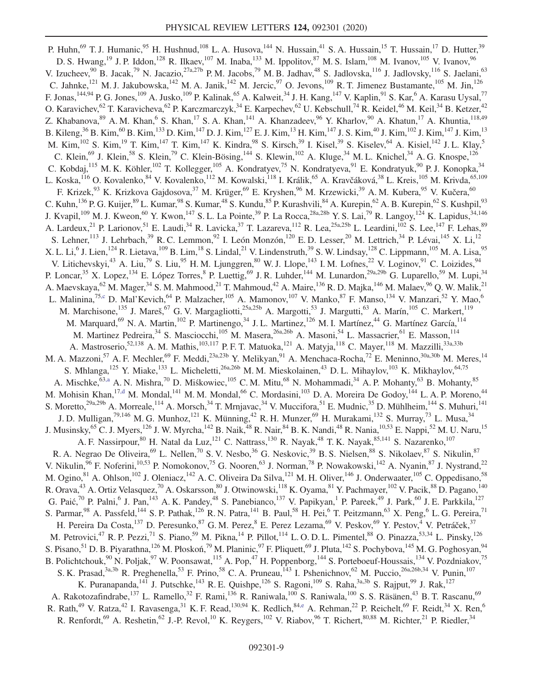P. Huhn,<sup>69</sup> T. J. Humanic,<sup>95</sup> H. Hushnud,<sup>108</sup> L. A. Husova,<sup>144</sup> N. Hussain,<sup>41</sup> S. A. Hussain,<sup>15</sup> T. Hussain,<sup>17</sup> D. Hutter,<sup>39</sup> D. S. Hwang,<sup>19</sup> J. P. Iddon,<sup>128</sup> R. Ilkaev,<sup>107</sup> M. Inaba,<sup>133</sup> M. Ippolitov,<sup>87</sup> M. S. Islam,<sup>108</sup> M. Ivanov,<sup>105</sup> V. Ivanov,<sup>96</sup> V. Izucheev,  $90\,$  B. Jacak,  $79\,$  N. Jacazio,  $27a,27b\,$  P. M. Jacobs,  $79\,$  M. B. Jadhav,  $48\,$  S. Jadlovska,  $^{116}\,$  J. Jadlovsky,  $^{116}\,$  S. Jaelani,  $^{63}\,$ C. Jahnke,<sup>121</sup> M. J. Jakubowska,<sup>142</sup> M. A. Janik,<sup>142</sup> M. Jercic,<sup>97</sup> O. Jevons,<sup>109</sup> R. T. Jimenez Bustamante,<sup>105</sup> M. Jin,<sup>126</sup> F. Jonas, $^{144,94}$  P. G. Jones, $^{109}$  A. Jusko, $^{109}$  P. Kalinak, $^{65}$  A. Kalweit, $^{34}$  J. H. Kang, $^{147}$  V. Kaplin, $^{91}$  S. Kar, $^6$  A. Karasu Uysal, $^{77}$ O. Karavichev, <sup>62</sup> T. Karavicheva, <sup>62</sup> P. Karczmarczyk, <sup>34</sup> E. Karpechev, <sup>62</sup> U. Kebschull, <sup>74</sup> R. Keidel, <sup>46</sup> M. Keil, <sup>34</sup> B. Ketzer, <sup>42</sup> Z. Khabanova,  $89$  A. M. Khan,  $6$  S. Khan,  $17$  S. A. Khan,  $141$  A. Khanzadeev,  $96$  Y. Kharlov,  $90$  A. Khatun,  $17$  A. Khuntia,  $118,49$ B. Kileng,<sup>36</sup> B. Kim,<sup>60</sup> B. Kim,<sup>133</sup> D. Kim,<sup>147</sup> D. J. Kim,<sup>127</sup> E. J. Kim,<sup>13</sup> H. Kim,<sup>147</sup> J. S. Kim,<sup>40</sup> J. Kim,<sup>102</sup> J. Kim,<sup>147</sup> J. Kim,<sup>13</sup> M. Kim,<sup>102</sup> S. Kim,<sup>19</sup> T. Kim,<sup>147</sup> T. Kim,<sup>147</sup> K. Kindra,<sup>98</sup> S. Kirsch,<sup>39</sup> I. Kisel,<sup>39</sup> S. Kiselev,<sup>64</sup> A. Kisiel,<sup>142</sup> J. L. Klay,<sup>5</sup> C. Klein,<sup>69</sup> J. Klein,<sup>58</sup> S. Klein,<sup>79</sup> C. Klein-Bösing,<sup>144</sup> S. Klewin,<sup>102</sup> A. Kluge,<sup>34</sup> M. L. Knichel,<sup>34</sup> A. G. Knospe,<sup>126</sup> C. Kobdaj,<sup>115</sup> M. K. Köhler,<sup>102</sup> T. Kollegger,<sup>105</sup> A. Kondratyev,<sup>75</sup> N. Kondratyeva,<sup>91</sup> E. Kondratyuk,<sup>90</sup> P. J. Konopka,<sup>34</sup> L. Koska, <sup>116</sup> O. Kovalenko, <sup>84</sup> V. Kovalenko, <sup>112</sup> M. Kowalski, <sup>118</sup> I. Králik, <sup>65</sup> A. Kravčáková, <sup>38</sup> L. Kreis, <sup>105</sup> M. Krivda, <sup>65, 109</sup> F. Krizek,<sup>93</sup> K. Krizkova Gajdosova,<sup>37</sup> M. Krüger,<sup>69</sup> E. Kryshen,<sup>96</sup> M. Krzewicki,<sup>39</sup> A. M. Kubera,<sup>95</sup> V. Kučera,<sup>60</sup> C. Kuhn,  $^{136}$  P. G. Kuijer,  $^{89}$  L. Kumar,  $^{98}$  S. Kumar,  $^{48}$  S. Kundu,  $^{85}$  P. Kurashvili,  $^{84}$  A. Kurepin,  $^{62}$  A. B. Kurepin,  $^{62}$  S. Kushpil,  $^{93}$ J. Kvapil,<sup>109</sup> M. J. Kweon,<sup>60</sup> Y. Kwon,<sup>147</sup> S. L. La Pointe,<sup>39</sup> P. La Rocca,<sup>28a,28b</sup> Y. S. Lai,<sup>79</sup> R. Langoy,<sup>124</sup> K. Lapidus,<sup>34,146</sup> A. Lardeux,<sup>21</sup> P. Larionov,<sup>51</sup> E. Laudi,<sup>34</sup> R. Lavicka,<sup>37</sup> T. Lazareva,<sup>112</sup> R. Lea,<sup>25a,25b</sup> L. Leardini,<sup>102</sup> S. Lee,<sup>147</sup> F. Lehas,<sup>89</sup> S. Lehner, <sup>113</sup> J. Lehrbach, <sup>39</sup> R. C. Lemmon, <sup>92</sup> I. León Monzón, <sup>120</sup> E. D. Lesser, <sup>20</sup> M. Lettrich, <sup>34</sup> P. Lévai, <sup>145</sup> X. Li, <sup>12</sup> X. L. Li,<sup>6</sup> J. Lien,<sup>124</sup> R. Lietava,<sup>109</sup> B. Lim,<sup>18</sup> S. Lindal,<sup>21</sup> V. Lindenstruth,<sup>39</sup> S. W. Lindsay,<sup>128</sup> C. Lippmann,<sup>105</sup> M. A. Lisa,<sup>95</sup> V. Litichevskyi,<sup>43</sup> A. Liu,<sup>79</sup> S. Liu,<sup>95</sup> H. M. Ljunggren,<sup>80</sup> W. J. Llope,<sup>143</sup> I. M. Lofnes,<sup>22</sup> V. Loginov,<sup>91</sup> C. Loizides,<sup>94</sup> P. Loncar,<sup>35</sup> X. Lopez,<sup>134</sup> E. López Torres, <sup>8</sup> P. Luettig,<sup>69</sup> J. R. Luhder,<sup>144</sup> M. Lunardon,<sup>29a,29b</sup> G. Luparello,<sup>59</sup> M. Lupi,<sup>34</sup> A. Maevskaya,<sup>62</sup> M. Mager,<sup>34</sup> S. M. Mahmood,<sup>21</sup> T. Mahmoud,<sup>42</sup> A. Maire,<sup>136</sup> R. D. Majka,<sup>146</sup> M. Malaev,<sup>96</sup> Q. W. Malik,<sup>21</sup> L. Malinina,<sup>75,c</sup> D. Mal'Kevich,<sup>64</sup> P. Malzacher,<sup>105</sup> A. Mamonov,<sup>107</sup> V. Manko,<sup>87</sup> F. Manso,<sup>134</sup> V. Manzari,<sup>52</sup> Y. Mao,<sup>6</sup> M. Marchisone,<sup>135</sup> J. Mareš,<sup>67</sup> G. V. Margagliotti,<sup>25a,25b</sup> A. Margotti,<sup>53</sup> J. Margutti,<sup>63</sup> A. Marín,<sup>105</sup> C. Markert,<sup>119</sup> M. Marquard,<sup>69</sup> N. A. Martin,<sup>102</sup> P. Martinengo,<sup>34</sup> J. L. Martinez,<sup>126</sup> M. I. Martínez,<sup>44</sup> G. Martínez García,<sup>114</sup> M. Martinez Pedreira,  $34$  S. Masciocchi,  $105$  M. Masera,  $26a,26b$  A. Masoni,  $54$  L. Massacrier,  $61$  E. Masson,  $114$ A. Mastroserio,<sup>52,138</sup> A. M. Mathis,<sup>103,117</sup> P. F. T. Matuoka,<sup>121</sup> A. Matyja,<sup>118</sup> C. Mayer,<sup>118</sup> M. Mazzilli,<sup>33a,33b</sup> M. A. Mazzoni,<sup>57</sup> A. F. Mechler,<sup>69</sup> F. Meddi,<sup>23a,23b</sup> Y. Melikyan,<sup>91</sup> A. Menchaca-Rocha,<sup>72</sup> E. Meninno,<sup>30a,30b</sup> M. Meres,<sup>14</sup> S. Mhlanga,<sup>125</sup> Y. Miake,<sup>133</sup> L. Micheletti,<sup>26a,26b</sup> M. M. Mieskolainen,<sup>43</sup> D. L. Mihaylov,<sup>103</sup> K. Mikhaylov,<sup>64,75</sup> A. Mischke,<sup>63,a</sup> A. N. Mishra,<sup>70</sup> D. Miśkowiec,<sup>105</sup> C. M. Mitu,<sup>68</sup> N. Mohammadi,<sup>34</sup> A. P. Mohanty,<sup>63</sup> B. Mohanty,<sup>85</sup> M. Mohisin Khan, <sup>17,d</sup> M. Mondal, <sup>141</sup> M. M. Mondal, <sup>66</sup> C. Mordasini, 103 D. A. Moreira De Godoy, <sup>144</sup> L. A. P. Moreno, <sup>44</sup> S. Moretto,<sup>29a,29b</sup> A. Morreale,<sup>114</sup> A. Morsch,<sup>34</sup> T. Mrnjavac,<sup>34</sup> V. Muccifora,<sup>51</sup> E. Mudnic,<sup>35</sup> D. Mühlheim,<sup>144</sup> S. Muhuri,<sup>141</sup> J. D. Mulligan,<sup>79,146</sup> M. G. Munhoz,<sup>121</sup> K. Münning,<sup>42</sup> R. H. Munzer,<sup>69</sup> H. Murakami,<sup>132</sup> S. Murray,<sup>73</sup> L. Musa,<sup>34</sup> J. Musinsky,<sup>65</sup> C. J. Myers,<sup>126</sup> J. W. Myrcha,<sup>142</sup> B. Naik,<sup>48</sup> R. Nair,<sup>84</sup> B. K. Nandi,<sup>48</sup> R. Nania,<sup>10,53</sup> E. Nappi,<sup>52</sup> M. U. Naru,<sup>15</sup> A. F. Nassirpour, <sup>80</sup> H. Natal da Luz, <sup>121</sup> C. Nattrass, <sup>130</sup> R. Nayak, <sup>48</sup> T. K. Nayak, <sup>85,141</sup> S. Nazarenko, <sup>107</sup> R. A. Negrao De Oliveira,  $^{69}$  L. Nellen,  $^{70}$  S. V. Nesbo,  $^{36}$  G. Neskovic,  $^{39}$  B. S. Nielsen,  $^{88}$  S. Nikolaev,  $^{87}$  S. Nikulin,  $^{87}$ V. Nikulin, <sup>96</sup> F. Noferini, <sup>10,53</sup> P. Nomokonov, <sup>75</sup> G. Nooren, <sup>63</sup> J. Norman, <sup>78</sup> P. Nowakowski, <sup>142</sup> A. Nyanin, <sup>87</sup> J. Nystrand, <sup>22</sup> M. Ogino, <sup>81</sup> A. Ohlson,<sup>102</sup> J. Oleniacz,<sup>142</sup> A. C. Oliveira Da Silva,<sup>121</sup> M. H. Oliver,<sup>146</sup> J. Onderwaater,<sup>105</sup> C. Oppedisano,<sup>58</sup> R. Orava,  $^{43}$  A. Ortiz Velasquez,  $^{70}$  A. Oskarsson,  $^{80}$  J. Otwinowski,  $^{118}$  K. Oyama,  $^{81}$  Y. Pachmayer,  $^{102}$  V. Pacik,  $^{88}$  D. Pagano,  $^{140}$ G. Paić,<sup>70</sup> P. Palni,<sup>6</sup> J. Pan,<sup>143</sup> A. K. Pandey,<sup>48</sup> S. Panebianco,<sup>137</sup> V. Papikyan,<sup>1</sup> P. Pareek,<sup>49</sup> J. Park,<sup>60</sup> J. E. Parkkila,<sup>127</sup> S. Parmar,  $98$  A. Passfeld,  $144$  S. P. Pathak,  $126$  R. N. Patra,  $141$  B. Paul,  $58$  H. Pei,  $6$  T. Peitzmann,  $63$  X. Peng,  $6$  L. G. Pereira,  $71$ H. Pereira Da Costa,<sup>137</sup> D. Peresunko,<sup>87</sup> G. M. Perez,<sup>8</sup> E. Perez Lezama,<sup>69</sup> V. Peskov,<sup>69</sup> Y. Pestov,<sup>4</sup> V. Petráček,<sup>37</sup> M. Petrovici,<sup>47</sup> R. P. Pezzi,<sup>71</sup> S. Piano,<sup>59</sup> M. Pikna,<sup>14</sup> P. Pillot,<sup>114</sup> L. O. D. L. Pimentel,<sup>88</sup> O. Pinazza,<sup>53,34</sup> L. Pinsky,<sup>126</sup> S. Pisano,<sup>51</sup> D. B. Piyarathna,<sup>126</sup> M. Płoskoń,<sup>79</sup> M. Planinic,<sup>97</sup> F. Pliquett,<sup>69</sup> J. Pluta,<sup>142</sup> S. Pochybova,<sup>145</sup> M. G. Poghosyan,<sup>94</sup> B. Polichtchouk,<sup>90</sup> N. Poljak,<sup>97</sup> W. Poonsawat,<sup>115</sup> A. Pop,<sup>47</sup> H. Poppenborg,<sup>144</sup> S. Porteboeuf-Houssais,<sup>134</sup> V. Pozdniakov,<sup>75</sup> S. K. Prasad,<sup>3a,3b</sup> R. Preghenella,<sup>53</sup> F. Prino,<sup>58</sup> C. A. Pruneau,<sup>143</sup> I. Pshenichnov,<sup>62</sup> M. Puccio,<sup>26a,26b,34</sup> V. Punin,<sup>107</sup> K. Puranapanda,<sup>141</sup> J. Putschke,<sup>143</sup> R. E. Quishpe,<sup>126</sup> S. Ragoni,<sup>109</sup> S. Raha,<sup>3a,3b</sup> S. Rajput,<sup>99</sup> J. Rak,<sup>127</sup> A. Rakotozafindrabe,<sup>137</sup> L. Ramello,<sup>32</sup> F. Rami,<sup>136</sup> R. Raniwala,<sup>100</sup> S. Raniwala,<sup>100</sup> S. S. Räsänen,<sup>43</sup> B. T. Rascanu,<sup>69</sup> R. Rath,<sup>49</sup> V. Ratza,<sup>42</sup> I. Ravasenga,<sup>31</sup> K. F. Read,<sup>130,94</sup> K. Redlich,<sup>84,e</sup> A. Rehman,<sup>22</sup> P. Reichelt,<sup>69</sup> F. Reidt,<sup>34</sup> X. Ren,<sup>6</sup> R. Renfordt,<sup>69</sup> A. Reshetin,<sup>62</sup> J.-P. Revol,<sup>10</sup> K. Reygers,<sup>102</sup> V. Riabov,<sup>96</sup> T. Richert,<sup>80,88</sup> M. Richter,<sup>21</sup> P. Riedler,<sup>34</sup>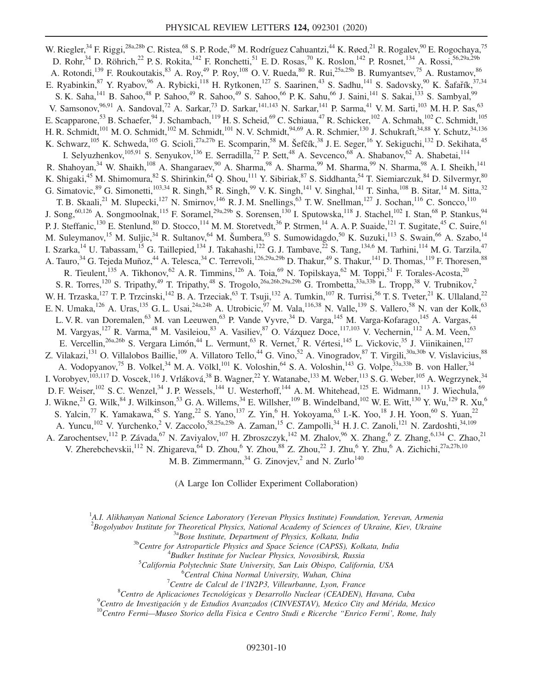W. Riegler,<sup>34</sup> F. Riggi,<sup>28a,28b</sup> C. Ristea,<sup>68</sup> S. P. Rode,<sup>49</sup> M. Rodríguez Cahuantzi,<sup>44</sup> K. Røed,<sup>21</sup> R. Rogalev,<sup>90</sup> E. Rogochaya,<sup>75</sup> D. Rohr,<sup>34</sup> D. Röhrich,<sup>22</sup> P. S. Rokita,<sup>142</sup> F. Ronchetti,<sup>51</sup> E. D. Rosas,<sup>70</sup> K. Roslon,<sup>142</sup> P. Rosnet,<sup>134</sup> A. Rossi,<sup>56,29a,29b</sup> A. Rotondi,<sup>139</sup> F. Roukoutakis,<sup>83</sup> A. Roy,<sup>49</sup> P. Roy,<sup>108</sup> O. V. Rueda,<sup>80</sup> R. Rui,<sup>25a,25b</sup> B. Rumyantsev,<sup>75</sup> A. Rustamov,<sup>86</sup> E. Ryabinkin,  $87$  Y. Ryabov,  $96$  A. Rybicki,  $^{118}$  H. Rytkonen,  $^{127}$  S. Saarinen,  $^{43}$  S. Sadhu,  $^{141}$  S. Sadovsky,  $90$  K. Šafařík,  $37,34$ S. K. Saha,<sup>141</sup> B. Sahoo,<sup>48</sup> P. Sahoo,<sup>49</sup> R. Sahoo,<sup>49</sup> S. Sahoo,<sup>66</sup> P. K. Sahu,<sup>66</sup> J. Saini,<sup>141</sup> S. Sakai,<sup>133</sup> S. Sambyal,<sup>99</sup> V. Samsonov,  $96,91$  A. Sandoval,  $72$  A. Sarkar,  $73$  D. Sarkar,  $141,143$  N. Sarkar,  $141$  P. Sarma,  $41$  V. M. Sarti,  $103$  M. H. P. Sas,  $63$ E. Scapparone,<sup>53</sup> B. Schaefer,<sup>94</sup> J. Schambach,<sup>119</sup> H. S. Scheid,<sup>69</sup> C. Schiaua,<sup>47</sup> R. Schicker,<sup>102</sup> A. Schmah,<sup>102</sup> C. Schmidt,<sup>105</sup> H. R. Schmidt,<sup>101</sup> M. O. Schmidt,<sup>102</sup> M. Schmidt,<sup>101</sup> N. V. Schmidt,<sup>94,69</sup> A. R. Schmier,<sup>130</sup> J. Schukraft,<sup>34,88</sup> Y. Schutz,<sup>34,136</sup> K. Schwarz, <sup>105</sup> K. Schweda, <sup>105</sup> G. Scioli, <sup>27a, 27b</sup> E. Scomparin, <sup>58</sup> M. Šefčík, <sup>38</sup> J. E. Seger, <sup>16</sup> Y. Sekiguchi, <sup>132</sup> D. Sekihata, <sup>45</sup> I. Selyuzhenkov,<sup>105,91</sup> S. Senyukov,<sup>136</sup> E. Serradilla,<sup>72</sup> P. Sett,<sup>48</sup> A. Sevcenco,<sup>68</sup> A. Shabanov,<sup>62</sup> A. Shabetai,<sup>114</sup> R. Shahoyan,<sup>34</sup> W. Shaikh,<sup>108</sup> A. Shangaraev,<sup>90</sup> A. Sharma,<sup>98</sup> A. Sharma,<sup>99</sup> M. Sharma,<sup>99</sup> N. Sharma,<sup>98</sup> A. I. Sheikh,<sup>141</sup> K. Shigaki,<sup>45</sup> M. Shimomura,<sup>82</sup> S. Shirinkin,<sup>64</sup> Q. Shou,<sup>111</sup> Y. Sibiriak,<sup>87</sup> S. Siddhanta,<sup>54</sup> T. Siemiarczuk,<sup>84</sup> D. Silvermyr,<sup>80</sup> G. Simatovic,  $89$  G. Simonetti,  $103,34$  R. Singh,  $85$  R. Singh,  $99$  V. K. Singh,  $141$  V. Singhal,  $141$  T. Sinha,  $108$  B. Sitar,  $14$  M. Sitta,  $32$ T. B. Skaali,<sup>21</sup> M. Slupecki,<sup>127</sup> N. Smirnov,<sup>146</sup> R. J. M. Snellings,<sup>63</sup> T. W. Snellman,<sup>127</sup> J. Sochan,<sup>116</sup> C. Soncco,<sup>110</sup> J. Song,<sup>60,126</sup> A. Songmoolnak,<sup>115</sup> F. Soramel,<sup>29a,29b</sup> S. Sorensen,<sup>130</sup> I. Sputowska,<sup>118</sup> J. Stachel,<sup>102</sup> I. Stan,<sup>68</sup> P. Stankus,<sup>94</sup> P. J. Steffanic,<sup>130</sup> E. Stenlund,<sup>80</sup> D. Stocco,<sup>114</sup> M. M. Storetvedt,<sup>36</sup> P. Strmen,<sup>14</sup> A. A. P. Suaide,<sup>121</sup> T. Sugitate,<sup>45</sup> C. Suire,<sup>61</sup> M. Suleymanov,<sup>15</sup> M. Suljic,<sup>34</sup> R. Sultanov,<sup>64</sup> M. Šumbera,<sup>93</sup> S. Sumowidagdo,<sup>50</sup> K. Suzuki,<sup>113</sup> S. Swain,<sup>66</sup> A. Szabo,<sup>14</sup> I. Szarka,<sup>14</sup> U. Tabassam,<sup>15</sup> G. Taillepied,<sup>134</sup> J. Takahashi,<sup>122</sup> G. J. Tambave,<sup>22</sup> S. Tang,<sup>134,6</sup> M. Tarhini,<sup>114</sup> M. G. Tarzila,<sup>47</sup> A. Tauro,<sup>34</sup> G. Tejeda Muñoz,<sup>44</sup> A. Telesca,<sup>34</sup> C. Terrevoli,<sup>126,29a,29b</sup> D. Thakur,<sup>49</sup> S. Thakur,<sup>141</sup> D. Thomas,<sup>119</sup> F. Thoresen,<sup>88</sup> R. Tieulent,<sup>135</sup> A. Tikhonov,<sup>62</sup> A. R. Timmins,<sup>126</sup> A. Toia,<sup>69</sup> N. Topilskaya,<sup>62</sup> M. Toppi,<sup>51</sup> F. Torales-Acosta,<sup>20</sup> S. R. Torres,<sup>120</sup> S. Tripathy,<sup>49</sup> T. Tripathy,<sup>48</sup> S. Trogolo,<sup>26a,26b,29a,29b</sup> G. Trombetta,<sup>33a,33b</sup> L. Tropp,<sup>38</sup> V. Trubnikov,<sup>2</sup> W. H. Trzaska, <sup>127</sup> T. P. Trzcinski, <sup>142</sup> B. A. Trzeciak, <sup>63</sup> T. Tsuji, <sup>132</sup> A. Tumkin, <sup>107</sup> R. Turrisi, <sup>56</sup> T. S. Tveter, <sup>21</sup> K. Ullaland, <sup>22</sup> E. N. Umaka,  $126$  A. Uras,  $135$  G. L. Usai,  $24a,24b$  A. Utrobicic,  $97$  M. Vala,  $116,38$  N. Valle,  $139$  S. Vallero,  $58$  N. van der Kolk,  $63$ L. V. R. van Doremalen,<sup>63</sup> M. van Leeuwen,<sup>63</sup> P. Vande Vyvre,<sup>34</sup> D. Varga,<sup>145</sup> M. Varga-Kofarago,<sup>145</sup> A. Vargas,<sup>44</sup> M. Vargyas,<sup>127</sup> R. Varma,<sup>48</sup> M. Vasileiou,<sup>83</sup> A. Vasiliev,<sup>87</sup> O. Vázquez Doce,<sup>117,103</sup> V. Vechernin,<sup>112</sup> A. M. Veen,<sup>63</sup> E. Vercellin,<sup>26a,26b</sup> S. Vergara Limón,<sup>44</sup> L. Vermunt,<sup>63</sup> R. Vernet,<sup>7</sup> R. Vértesi,<sup>145</sup> L. Vickovic,<sup>35</sup> J. Viinikainen,<sup>127</sup> Z. Vilakazi,<sup>131</sup> O. Villalobos Baillie,<sup>109</sup> A. Villatoro Tello,<sup>44</sup> G. Vino,<sup>52</sup> A. Vinogradov,<sup>87</sup> T. Virgili,<sup>30a,30b</sup> V. Vislavicius,<sup>88</sup> A. Vodopyanov,<sup>75</sup> B. Volkel,<sup>34</sup> M. A. Völkl,<sup>101</sup> K. Voloshin,<sup>64</sup> S. A. Voloshin,<sup>143</sup> G. Volpe,<sup>33a,33b</sup> B. von Haller,<sup>34</sup> I. Vorobyev,  $^{103,117}$  D. Voscek,  $^{116}$  J. Vrláková,  $^{38}$  B. Wagner,  $^{22}$  Y. Watanabe,  $^{133}$  M. Weber,  $^{113}$  S. G. Weber,  $^{105}$  A. Wegrzynek,  $^{34}$ D. F. Weiser,<sup>102</sup> S. C. Wenzel,<sup>34</sup> J. P. Wessels,<sup>144</sup> U. Westerhoff,<sup>144</sup> A. M. Whitehead,<sup>125</sup> E. Widmann,<sup>113</sup> J. Wiechula,<sup>69</sup> J. Wikne,<sup>21</sup> G. Wilk,<sup>84</sup> J. Wilkinson,<sup>53</sup> G. A. Willems,<sup>34</sup> E. Willsher,<sup>109</sup> B. Windelband,<sup>102</sup> W. E. Witt,<sup>130</sup> Y. Wu,<sup>129</sup> R. Xu,<sup>6</sup> S. Yalcin,<sup>77</sup> K. Yamakawa,<sup>45</sup> S. Yang,<sup>22</sup> S. Yano,<sup>137</sup> Z. Yin,<sup>6</sup> H. Yokoyama,<sup>63</sup> I.-K. Yoo,<sup>18</sup> J. H. Yoon,<sup>60</sup> S. Yuan,<sup>22</sup> A. Yuncu,<sup>102</sup> V. Yurchenko,<sup>2</sup> V. Zaccolo,<sup>58,25a,25b</sup> A. Zaman,<sup>15</sup> C. Zampolli,<sup>34</sup> H. J. C. Zanoli,<sup>121</sup> N. Zardoshti,<sup>34,109</sup> A. Zarochentsev,<sup>112</sup> P. Závada,<sup>67</sup> N. Zaviyalov,<sup>107</sup> H. Zbroszczyk,<sup>142</sup> M. Zhalov,<sup>96</sup> X. Zhang,<sup>6</sup> Z. Zhang,<sup>6,134</sup> C. Zhao,<sup>21</sup> V. Zherebchevskii,  $^{112}$  N. Zhigareva,  $^{64}$  D. Zhou,  $^{6}$  Y. Zhou,  $^{88}$  Z. Zhou,  $^{22}$  J. Zhu,  $^{6}$  Y. Zhu,  $^{6}$  A. Zichichi,  $^{27a,27b,10}$ M. B. Zimmermann, $^{34}$  G. Zinovjev, $^2$  and N. Zurlo $^{140}$ 

(A Large Ion Collider Experiment Collaboration)

<sup>1</sup>A.I. Alikhanyan National Science Laboratory (Yerevan Physics Institute) Foundation, Yerevan, Armenia

<sup>2</sup>Bogolyubov Institute for Theoretical Physics, National Academy of Sciences of Ukraine, Kiev, Ukraine<br><sup>3a</sup>Bose Institute, Department of Physics, Kolkata, India<br><sup>3b</sup>Centre for Astroparticle Physics and Space Science (CAP

<sup>4</sup>Budker Institute for Nuclear Physics, Novosibirsk, Russia

 ${}^{5}$ California Polytechnic State University, San Luis Obispo, California, USA

<sup>6</sup>Central China Normal University, Wuhan, China

 $\sigma^7$ Centre de Calcul de l'IN2P3, Villeurbanne, Lyon, France

<sup>8</sup>Centro de Aplicaciones Tecnológicas y Desarrollo Nuclear (CEADEN), Havana, Cuba 9<sup>9</sup>Centro de Investigación y de Estudios Avanzados (CINVESTAV), Mexico City and Mérida, Mexico

<sup>10</sup>Centro Fermi- $\bar{M}$ useo Storico della Fisica e Centro Studi e Ricerche "Enrico Fermi', Rome, Italy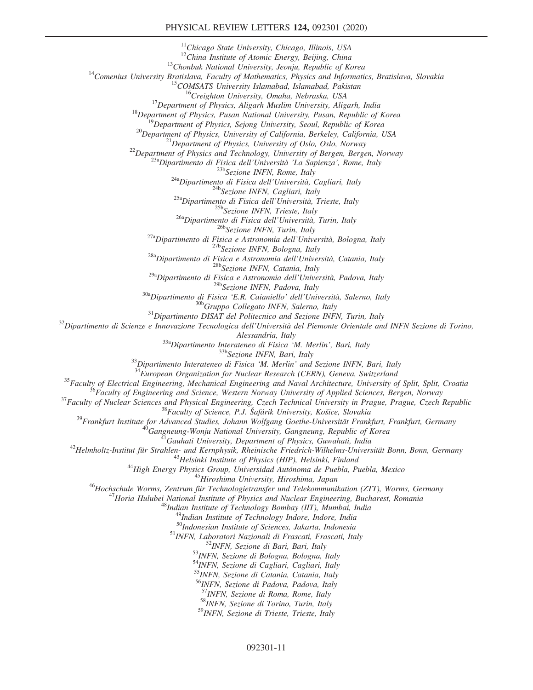<sup>11</sup>Chicago State University, Chicago, Illinois, USA<br>
<sup>13</sup>China I<sup>31</sup>China Institute of Atomic Energy, Beijing, China<br>
<sup>13</sup>China Institute of More Energy, Beijing, China<br>
<sup>13</sup>Comenius University Islamabad, Islamabad, Isla <sup>29b</sup>Sezione INFN, Padova, Italy<br><sup>30a</sup>Dipartimento di Fisica 'E.R. Caianiello' dell'Università, Salerno, Italy<br><sup>31</sup>Dipartimento DISAT del Politecnico and Sezione INFN, Turin, Italy<br><sup>32</sup>Dipartimento di Scienze e Innovazion Alessandria, Italy<br>
Alessandria, Italy<br>
338 Dipartimento Interacte of Fisica 'M. Merlin', Bari, Italy<br>
33 Dipartimento Interacted a Fisica 'Merlin', Bari, Italy<br>
35 Faculty of Electrical Engineering, Mechanical Engineering <sup>51</sup>INFN, Laboratori Nazionali di Frascati, Frascati, Italy  $52$ INFN, Sezione di Bari, Bari, Italy  $53$ INFN, Sezione di Bologna, Bologna, Italy <sup>54</sup>INFN, Sezione di Cagliari, Cagliari, Italy 55INFN, Sezione di Catania, Catania, Italy <sup>56</sup>INFN, Sezione di Padova, Padova, Italy<br><sup>57</sup>INFN, Sezione di Roma, Rome, Italy <sup>58</sup>INFN, Sezione di Torino, Turin, Italy <sup>59</sup>INFN, Sezione di Trieste, Trieste, Italy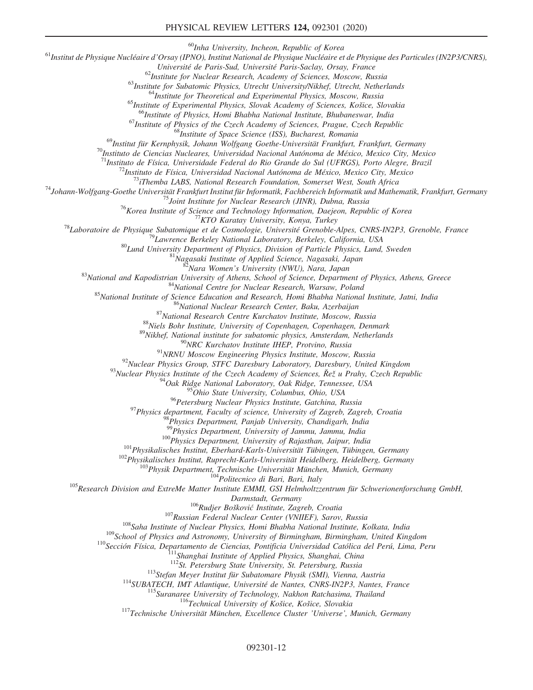<sup>60</sup>Inha University, Incheon, Republic of Korea<br><sup>61</sup>Institut de Physique Nucléaire d'Orsay (IPNO), Institut National de Physique Nucléaire et de Physique des Particules (IN2P3/CNRS),<br>Université de Paris-Sud, Université Pa <sup>62</sup>Institute for Nuclear Research, Academy of Sciences, Moscow, Russia<br><sup>63</sup>Institute for Subatomic Physics, Utrecht University/Nikhef, Utrecht, Netherlands<br><sup>64</sup>Institute for Theoretical and Experimental Physics, Moscow,

<sup>60</sup> Institute for Kernshysi, Johann Walfgang Goethe-Universität Prankfur, Frankfur, Cernany<br>
<sup>70</sup> Institute de Erisca, Universidad Nacional Autónoma de México, Mexico Giy, Mexico (11). The<br>
<sup>71</sup> Institute de Erisca, Uni

<sup>94</sup>Oak Ridge National Laboratory, Oak Ridge, Tennessee, USA<br><sup>95</sup>Ohio State University, Columbus, Ohio, USA<br><sup>96</sup>Petersburg Nuclear Physics Institute, Gatchina, Russia

<sup>97</sup>Physics department, Faculty of science, University of Zagreb, Zagreb, Croatia<br><sup>98</sup>Physics Department, Panjab University, Chandigarh, India<br><sup>99</sup>Physics Department, University of Jammu, Jammu, India

<sup>101</sup>Physics Department, University of Rajasthan, Jaipur, India<br><sup>101</sup>Physikalisches Institut, Eberhard-Karls-Universität Tübingen, Tübingen, Germany<br><sup>102</sup>Physikalisches Institut, Ruprecht-Karls-Universität Heidelberg, Hei

Darmstadt, Germany<br>
<sup>106</sup>Rudjer Bošković Institute, Zagreb, Croatia<br>
<sup>107</sup>Russian Federal Nuclear Center (VNIIEF), Sarov, Russia<br>
<sup>108</sup>Saha Institute of Nuclear Physics, Homi Bhabha National Institute, Kolkata, India<br>
<sup>109</sup>